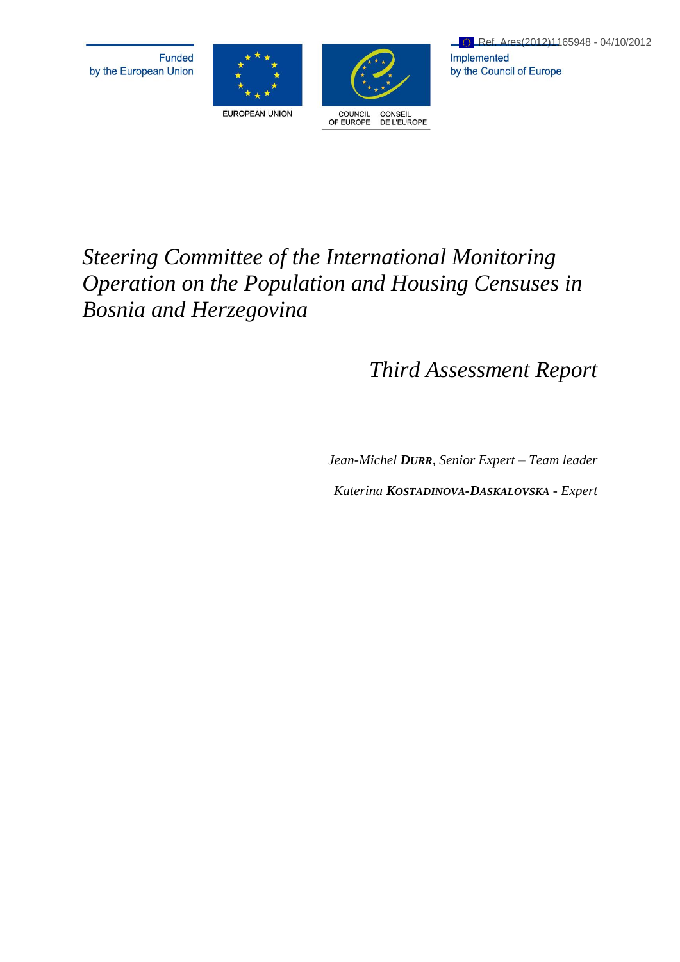



# *Steering Committee of the International Monitoring Operation on the Population and Housing Censuses in Bosnia and Herzegovina*

# *Third Assessment Report*

*Jean-Michel DURR, Senior Expert – Team leader*

*Katerina KOSTADINOVA-DASKALOVSKA - Expert*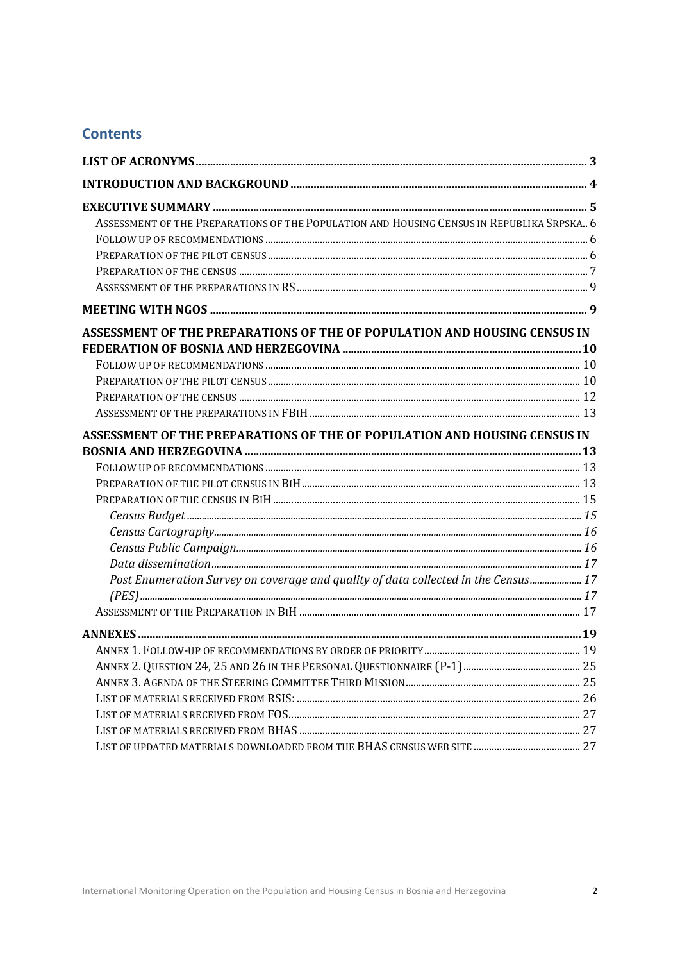# **Contents**

| ASSESSMENT OF THE PREPARATIONS OF THE POPULATION AND HOUSING CENSUS IN REPUBLIKA SRPSKA., 6 |  |
|---------------------------------------------------------------------------------------------|--|
|                                                                                             |  |
|                                                                                             |  |
|                                                                                             |  |
|                                                                                             |  |
|                                                                                             |  |
| ASSESSMENT OF THE PREPARATIONS OF THE OF POPULATION AND HOUSING CENSUS IN                   |  |
|                                                                                             |  |
|                                                                                             |  |
|                                                                                             |  |
|                                                                                             |  |
|                                                                                             |  |
| ASSESSMENT OF THE PREPARATIONS OF THE OF POPULATION AND HOUSING CENSUS IN                   |  |
|                                                                                             |  |
|                                                                                             |  |
|                                                                                             |  |
|                                                                                             |  |
|                                                                                             |  |
|                                                                                             |  |
|                                                                                             |  |
|                                                                                             |  |
| Post Enumeration Survey on coverage and quality of data collected in the Census 17          |  |
|                                                                                             |  |
|                                                                                             |  |
|                                                                                             |  |
|                                                                                             |  |
|                                                                                             |  |
|                                                                                             |  |
|                                                                                             |  |
|                                                                                             |  |
|                                                                                             |  |
|                                                                                             |  |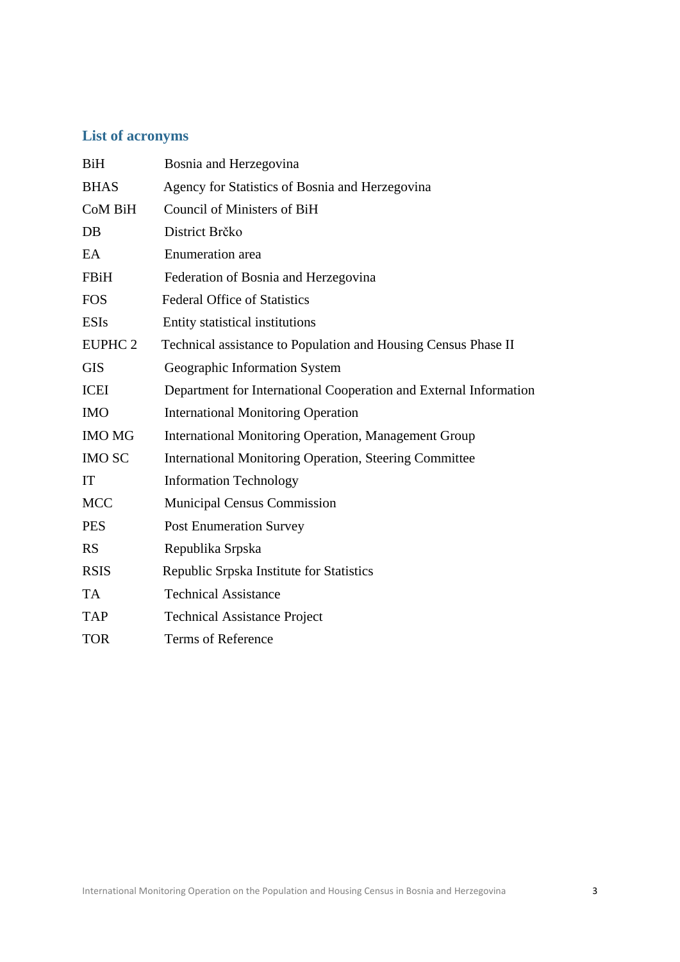# <span id="page-2-0"></span>**List of acronyms**

| BiH            | Bosnia and Herzegovina                                            |
|----------------|-------------------------------------------------------------------|
| <b>BHAS</b>    | Agency for Statistics of Bosnia and Herzegovina                   |
| <b>CoM BiH</b> | Council of Ministers of BiH                                       |
| DB             | District Brčko                                                    |
| EA             | Enumeration area                                                  |
| FBiH           | Federation of Bosnia and Herzegovina                              |
| <b>FOS</b>     | <b>Federal Office of Statistics</b>                               |
| <b>ESIs</b>    | Entity statistical institutions                                   |
| <b>EUPHC 2</b> | Technical assistance to Population and Housing Census Phase II    |
| <b>GIS</b>     | Geographic Information System                                     |
| <b>ICEI</b>    | Department for International Cooperation and External Information |
| <b>IMO</b>     | <b>International Monitoring Operation</b>                         |
| <b>IMO MG</b>  | <b>International Monitoring Operation, Management Group</b>       |
| <b>IMO SC</b>  | <b>International Monitoring Operation, Steering Committee</b>     |
| IT             | <b>Information Technology</b>                                     |
| <b>MCC</b>     | <b>Municipal Census Commission</b>                                |
| <b>PES</b>     | <b>Post Enumeration Survey</b>                                    |
| <b>RS</b>      | Republika Srpska                                                  |
| <b>RSIS</b>    | Republic Srpska Institute for Statistics                          |
| <b>TA</b>      | <b>Technical Assistance</b>                                       |
| <b>TAP</b>     | <b>Technical Assistance Project</b>                               |
| <b>TOR</b>     | Terms of Reference                                                |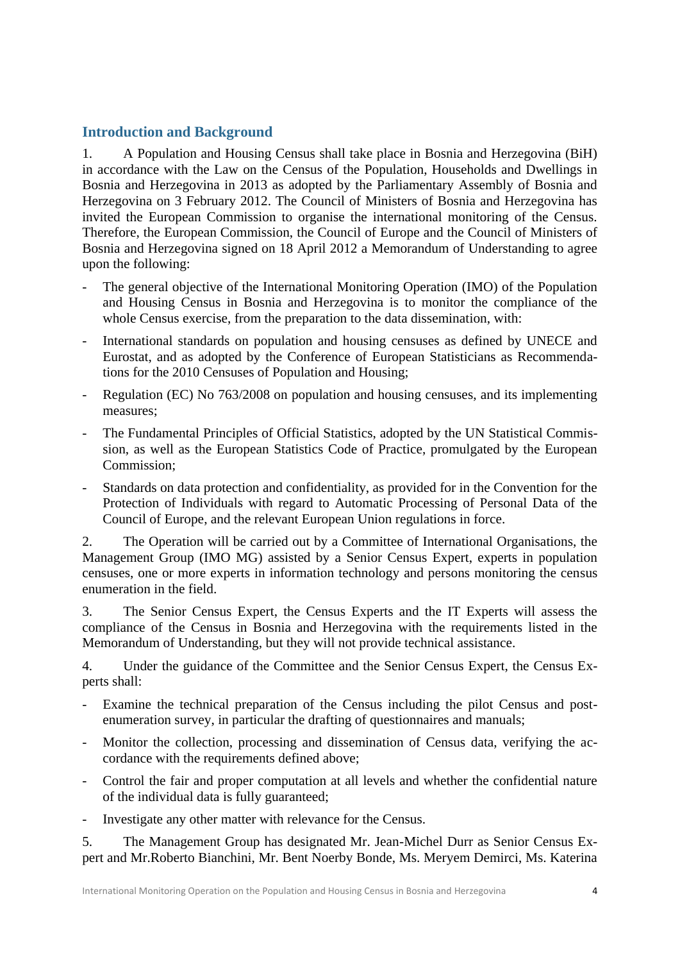# <span id="page-3-0"></span>**Introduction and Background**

1. A Population and Housing Census shall take place in Bosnia and Herzegovina (BiH) in accordance with the Law on the Census of the Population, Households and Dwellings in Bosnia and Herzegovina in 2013 as adopted by the Parliamentary Assembly of Bosnia and Herzegovina on 3 February 2012. The Council of Ministers of Bosnia and Herzegovina has invited the European Commission to organise the international monitoring of the Census. Therefore, the European Commission, the Council of Europe and the Council of Ministers of Bosnia and Herzegovina signed on 18 April 2012 a Memorandum of Understanding to agree upon the following:

- The general objective of the International Monitoring Operation (IMO) of the Population and Housing Census in Bosnia and Herzegovina is to monitor the compliance of the whole Census exercise, from the preparation to the data dissemination, with:
- International standards on population and housing censuses as defined by UNECE and Eurostat, and as adopted by the Conference of European Statisticians as Recommendations for the 2010 Censuses of Population and Housing;
- Regulation (EC) No 763/2008 on population and housing censuses, and its implementing measures;
- The Fundamental Principles of Official Statistics, adopted by the UN Statistical Commission, as well as the European Statistics Code of Practice, promulgated by the European Commission;
- Standards on data protection and confidentiality, as provided for in the Convention for the Protection of Individuals with regard to Automatic Processing of Personal Data of the Council of Europe, and the relevant European Union regulations in force.

2. The Operation will be carried out by a Committee of International Organisations, the Management Group (IMO MG) assisted by a Senior Census Expert, experts in population censuses, one or more experts in information technology and persons monitoring the census enumeration in the field.

3. The Senior Census Expert, the Census Experts and the IT Experts will assess the compliance of the Census in Bosnia and Herzegovina with the requirements listed in the Memorandum of Understanding, but they will not provide technical assistance.

4. Under the guidance of the Committee and the Senior Census Expert, the Census Experts shall:

- Examine the technical preparation of the Census including the pilot Census and postenumeration survey, in particular the drafting of questionnaires and manuals;
- Monitor the collection, processing and dissemination of Census data, verifying the accordance with the requirements defined above;
- Control the fair and proper computation at all levels and whether the confidential nature of the individual data is fully guaranteed;
- Investigate any other matter with relevance for the Census.

5. The Management Group has designated Mr. Jean-Michel Durr as Senior Census Expert and Mr.Roberto Bianchini, Mr. Bent Noerby Bonde, Ms. Meryem Demirci, Ms. Katerina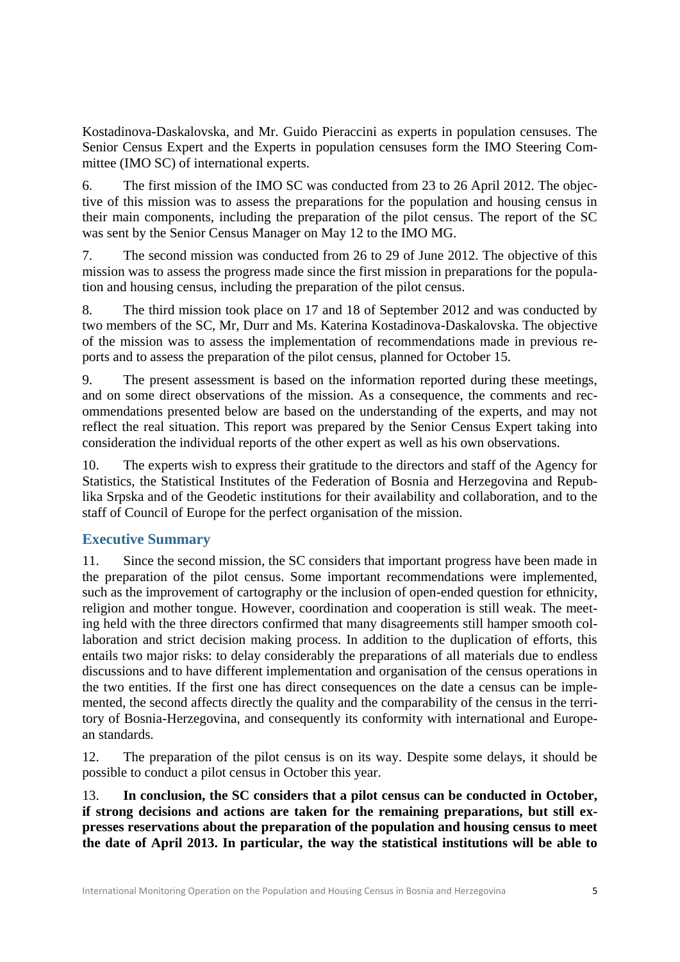Kostadinova-Daskalovska, and Mr. Guido Pieraccini as experts in population censuses. The Senior Census Expert and the Experts in population censuses form the IMO Steering Committee (IMO SC) of international experts.

6. The first mission of the IMO SC was conducted from 23 to 26 April 2012. The objective of this mission was to assess the preparations for the population and housing census in their main components, including the preparation of the pilot census. The report of the SC was sent by the Senior Census Manager on May 12 to the IMO MG.

7. The second mission was conducted from 26 to 29 of June 2012. The objective of this mission was to assess the progress made since the first mission in preparations for the population and housing census, including the preparation of the pilot census.

8. The third mission took place on 17 and 18 of September 2012 and was conducted by two members of the SC, Mr, Durr and Ms. Katerina Kostadinova-Daskalovska. The objective of the mission was to assess the implementation of recommendations made in previous reports and to assess the preparation of the pilot census, planned for October 15.

9. The present assessment is based on the information reported during these meetings, and on some direct observations of the mission. As a consequence, the comments and recommendations presented below are based on the understanding of the experts, and may not reflect the real situation. This report was prepared by the Senior Census Expert taking into consideration the individual reports of the other expert as well as his own observations.

10. The experts wish to express their gratitude to the directors and staff of the Agency for Statistics, the Statistical Institutes of the Federation of Bosnia and Herzegovina and Republika Srpska and of the Geodetic institutions for their availability and collaboration, and to the staff of Council of Europe for the perfect organisation of the mission.

# <span id="page-4-0"></span>**Executive Summary**

11. Since the second mission, the SC considers that important progress have been made in the preparation of the pilot census. Some important recommendations were implemented, such as the improvement of cartography or the inclusion of open-ended question for ethnicity, religion and mother tongue. However, coordination and cooperation is still weak. The meeting held with the three directors confirmed that many disagreements still hamper smooth collaboration and strict decision making process. In addition to the duplication of efforts, this entails two major risks: to delay considerably the preparations of all materials due to endless discussions and to have different implementation and organisation of the census operations in the two entities. If the first one has direct consequences on the date a census can be implemented, the second affects directly the quality and the comparability of the census in the territory of Bosnia-Herzegovina, and consequently its conformity with international and European standards.

12. The preparation of the pilot census is on its way. Despite some delays, it should be possible to conduct a pilot census in October this year.

13. **In conclusion, the SC considers that a pilot census can be conducted in October, if strong decisions and actions are taken for the remaining preparations, but still expresses reservations about the preparation of the population and housing census to meet the date of April 2013. In particular, the way the statistical institutions will be able to**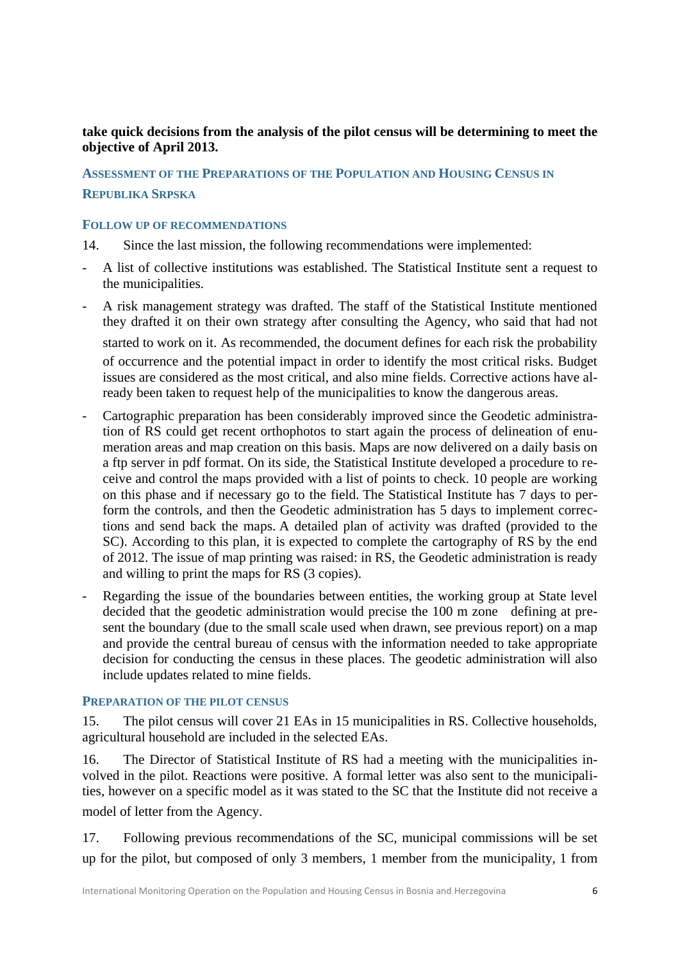# **take quick decisions from the analysis of the pilot census will be determining to meet the objective of April 2013.**

<span id="page-5-0"></span>**ASSESSMENT OF THE PREPARATIONS OF THE POPULATION AND HOUSING CENSUS IN REPUBLIKA SRPSKA**

#### <span id="page-5-1"></span>**FOLLOW UP OF RECOMMENDATIONS**

14. Since the last mission, the following recommendations were implemented:

- A list of collective institutions was established. The Statistical Institute sent a request to the municipalities.
- A risk management strategy was drafted. The staff of the Statistical Institute mentioned they drafted it on their own strategy after consulting the Agency, who said that had not started to work on it. As recommended, the document defines for each risk the probability of occurrence and the potential impact in order to identify the most critical risks. Budget issues are considered as the most critical, and also mine fields. Corrective actions have already been taken to request help of the municipalities to know the dangerous areas.
- Cartographic preparation has been considerably improved since the Geodetic administration of RS could get recent orthophotos to start again the process of delineation of enumeration areas and map creation on this basis. Maps are now delivered on a daily basis on a ftp server in pdf format. On its side, the Statistical Institute developed a procedure to receive and control the maps provided with a list of points to check. 10 people are working on this phase and if necessary go to the field. The Statistical Institute has 7 days to perform the controls, and then the Geodetic administration has 5 days to implement corrections and send back the maps. A detailed plan of activity was drafted (provided to the SC). According to this plan, it is expected to complete the cartography of RS by the end of 2012. The issue of map printing was raised: in RS, the Geodetic administration is ready and willing to print the maps for RS (3 copies).
- Regarding the issue of the boundaries between entities, the working group at State level decided that the geodetic administration would precise the 100 m zone defining at present the boundary (due to the small scale used when drawn, see previous report) on a map and provide the central bureau of census with the information needed to take appropriate decision for conducting the census in these places. The geodetic administration will also include updates related to mine fields.

#### <span id="page-5-2"></span>**PREPARATION OF THE PILOT CENSUS**

15. The pilot census will cover 21 EAs in 15 municipalities in RS. Collective households, agricultural household are included in the selected EAs.

16. The Director of Statistical Institute of RS had a meeting with the municipalities involved in the pilot. Reactions were positive. A formal letter was also sent to the municipalities, however on a specific model as it was stated to the SC that the Institute did not receive a model of letter from the Agency.

17. Following previous recommendations of the SC, municipal commissions will be set up for the pilot, but composed of only 3 members, 1 member from the municipality, 1 from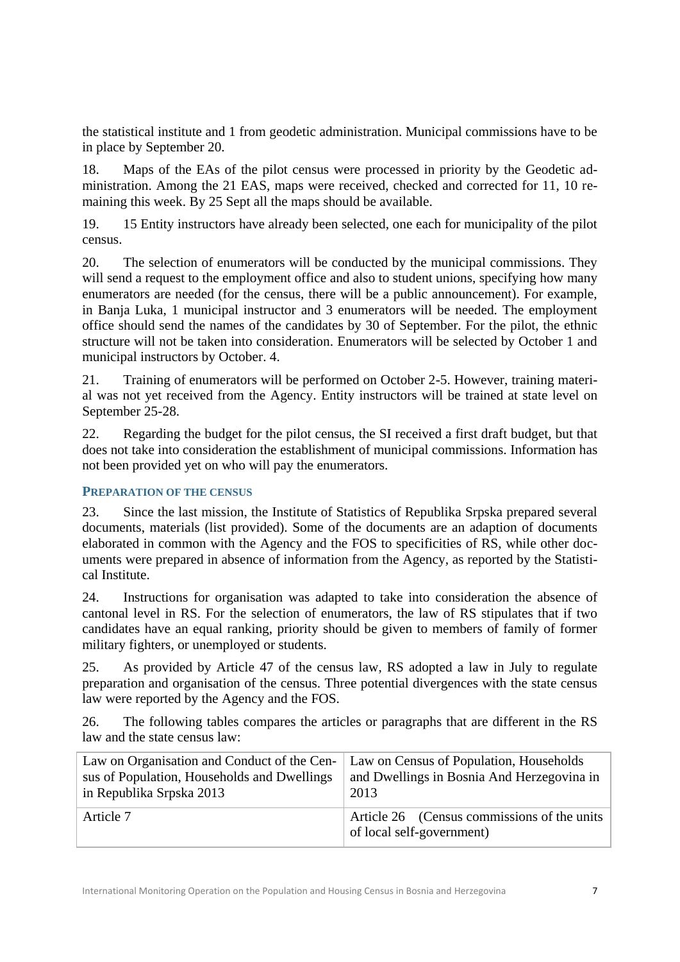the statistical institute and 1 from geodetic administration. Municipal commissions have to be in place by September 20.

18. Maps of the EAs of the pilot census were processed in priority by the Geodetic administration. Among the 21 EAS, maps were received, checked and corrected for 11, 10 remaining this week. By 25 Sept all the maps should be available.

19. 15 Entity instructors have already been selected, one each for municipality of the pilot census.

20. The selection of enumerators will be conducted by the municipal commissions. They will send a request to the employment office and also to student unions, specifying how many enumerators are needed (for the census, there will be a public announcement). For example, in Banja Luka, 1 municipal instructor and 3 enumerators will be needed. The employment office should send the names of the candidates by 30 of September. For the pilot, the ethnic structure will not be taken into consideration. Enumerators will be selected by October 1 and municipal instructors by October. 4.

21. Training of enumerators will be performed on October 2-5. However, training material was not yet received from the Agency. Entity instructors will be trained at state level on September 25-28.

22. Regarding the budget for the pilot census, the SI received a first draft budget, but that does not take into consideration the establishment of municipal commissions. Information has not been provided yet on who will pay the enumerators.

## <span id="page-6-0"></span>**PREPARATION OF THE CENSUS**

23. Since the last mission, the Institute of Statistics of Republika Srpska prepared several documents, materials (list provided). Some of the documents are an adaption of documents elaborated in common with the Agency and the FOS to specificities of RS, while other documents were prepared in absence of information from the Agency, as reported by the Statistical Institute.

24. Instructions for organisation was adapted to take into consideration the absence of cantonal level in RS. For the selection of enumerators, the law of RS stipulates that if two candidates have an equal ranking, priority should be given to members of family of former military fighters, or unemployed or students.

25. As provided by Article 47 of the census law, RS adopted a law in July to regulate preparation and organisation of the census. Three potential divergences with the state census law were reported by the Agency and the FOS.

26. The following tables compares the articles or paragraphs that are different in the RS law and the state census law:

| Law on Organisation and Conduct of the Cen- | Law on Census of Population, Households                                  |
|---------------------------------------------|--------------------------------------------------------------------------|
| sus of Population, Households and Dwellings | and Dwellings in Bosnia And Herzegovina in                               |
| in Republika Srpska 2013                    | 2013                                                                     |
| Article 7                                   | Article 26 (Census commissions of the units<br>of local self-government) |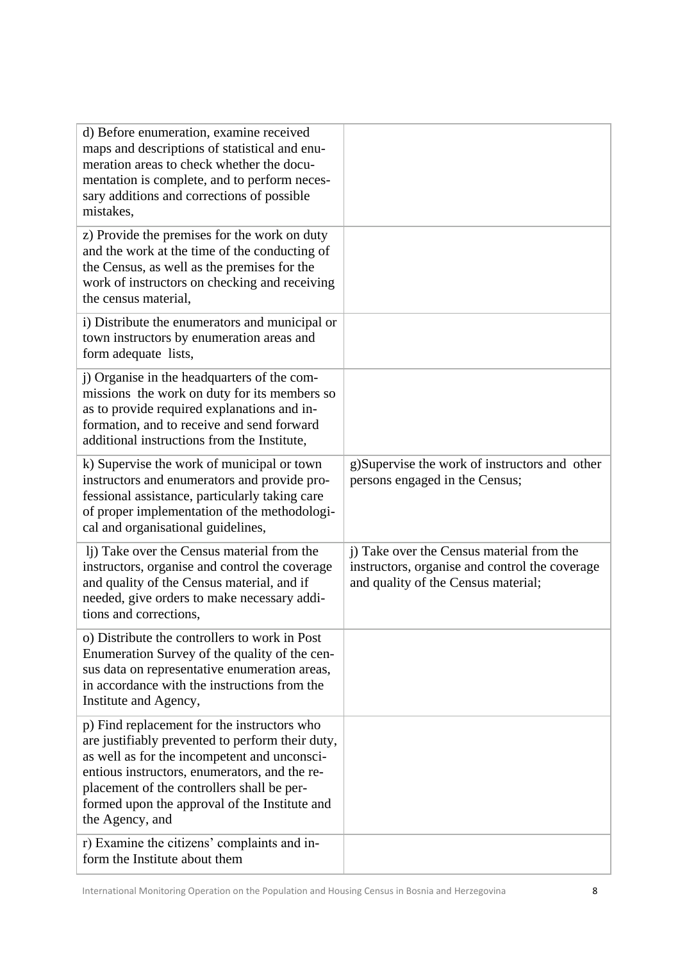| d) Before enumeration, examine received<br>maps and descriptions of statistical and enu-<br>meration areas to check whether the docu-<br>mentation is complete, and to perform neces-<br>sary additions and corrections of possible<br>mistakes,                                                                   |                                                                                                                                    |
|--------------------------------------------------------------------------------------------------------------------------------------------------------------------------------------------------------------------------------------------------------------------------------------------------------------------|------------------------------------------------------------------------------------------------------------------------------------|
| z) Provide the premises for the work on duty<br>and the work at the time of the conducting of<br>the Census, as well as the premises for the<br>work of instructors on checking and receiving<br>the census material,                                                                                              |                                                                                                                                    |
| i) Distribute the enumerators and municipal or<br>town instructors by enumeration areas and<br>form adequate lists,                                                                                                                                                                                                |                                                                                                                                    |
| j) Organise in the headquarters of the com-<br>missions the work on duty for its members so<br>as to provide required explanations and in-<br>formation, and to receive and send forward<br>additional instructions from the Institute,                                                                            |                                                                                                                                    |
| k) Supervise the work of municipal or town<br>instructors and enumerators and provide pro-<br>fessional assistance, particularly taking care<br>of proper implementation of the methodologi-<br>cal and organisational guidelines,                                                                                 | g)Supervise the work of instructors and other<br>persons engaged in the Census;                                                    |
| li) Take over the Census material from the<br>instructors, organise and control the coverage<br>and quality of the Census material, and if<br>needed, give orders to make necessary addi-<br>tions and corrections,                                                                                                | i) Take over the Census material from the<br>instructors, organise and control the coverage<br>and quality of the Census material; |
| o) Distribute the controllers to work in Post<br>Enumeration Survey of the quality of the cen-<br>sus data on representative enumeration areas,<br>in accordance with the instructions from the<br>Institute and Agency,                                                                                           |                                                                                                                                    |
| p) Find replacement for the instructors who<br>are justifiably prevented to perform their duty,<br>as well as for the incompetent and unconsci-<br>entious instructors, enumerators, and the re-<br>placement of the controllers shall be per-<br>formed upon the approval of the Institute and<br>the Agency, and |                                                                                                                                    |
| r) Examine the citizens' complaints and in-<br>form the Institute about them                                                                                                                                                                                                                                       |                                                                                                                                    |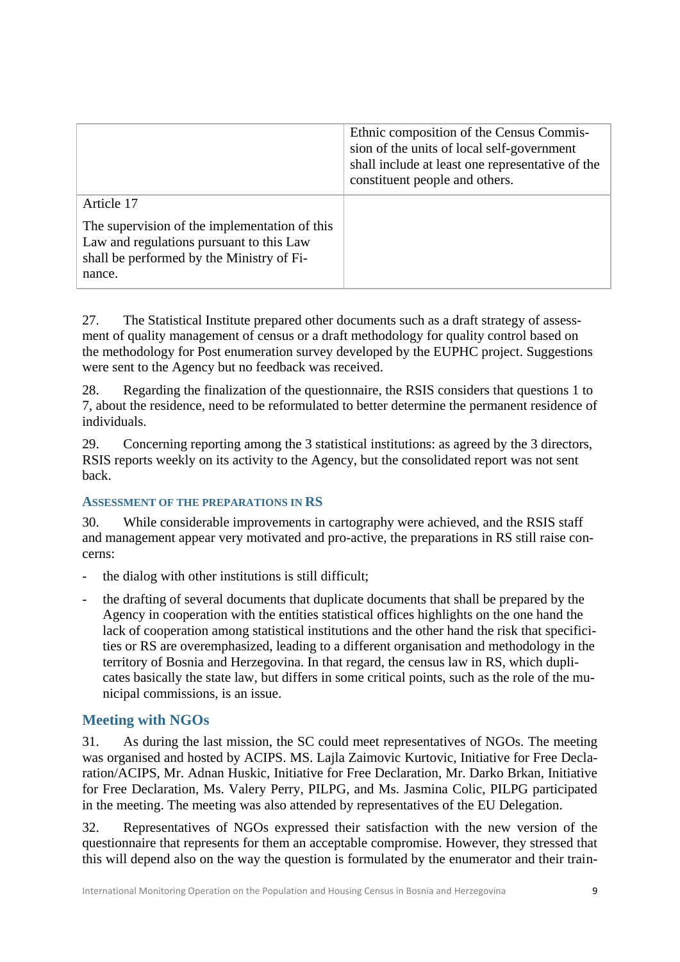|                                                                                                                                                  | Ethnic composition of the Census Commis-<br>sion of the units of local self-government<br>shall include at least one representative of the<br>constituent people and others. |
|--------------------------------------------------------------------------------------------------------------------------------------------------|------------------------------------------------------------------------------------------------------------------------------------------------------------------------------|
| Article 17                                                                                                                                       |                                                                                                                                                                              |
| The supervision of the implementation of this<br>Law and regulations pursuant to this Law<br>shall be performed by the Ministry of Fi-<br>nance. |                                                                                                                                                                              |

27. The Statistical Institute prepared other documents such as a draft strategy of assessment of quality management of census or a draft methodology for quality control based on the methodology for Post enumeration survey developed by the EUPHC project. Suggestions were sent to the Agency but no feedback was received.

28. Regarding the finalization of the questionnaire, the RSIS considers that questions 1 to 7, about the residence, need to be reformulated to better determine the permanent residence of individuals.

29. Concerning reporting among the 3 statistical institutions: as agreed by the 3 directors, RSIS reports weekly on its activity to the Agency, but the consolidated report was not sent back.

## <span id="page-8-0"></span>**ASSESSMENT OF THE PREPARATIONS IN RS**

30. While considerable improvements in cartography were achieved, and the RSIS staff and management appear very motivated and pro-active, the preparations in RS still raise concerns:

- the dialog with other institutions is still difficult;
- the drafting of several documents that duplicate documents that shall be prepared by the Agency in cooperation with the entities statistical offices highlights on the one hand the lack of cooperation among statistical institutions and the other hand the risk that specificities or RS are overemphasized, leading to a different organisation and methodology in the territory of Bosnia and Herzegovina. In that regard, the census law in RS, which duplicates basically the state law, but differs in some critical points, such as the role of the municipal commissions, is an issue.

# <span id="page-8-1"></span>**Meeting with NGOs**

31. As during the last mission, the SC could meet representatives of NGOs. The meeting was organised and hosted by ACIPS. MS. Lajla Zaimovic Kurtovic, Initiative for Free Declaration/ACIPS, Mr. Adnan Huskic, Initiative for Free Declaration, Mr. Darko Brkan, Initiative for Free Declaration, Ms. Valery Perry, PILPG, and Ms. Jasmina Colic, PILPG participated in the meeting. The meeting was also attended by representatives of the EU Delegation.

32. Representatives of NGOs expressed their satisfaction with the new version of the questionnaire that represents for them an acceptable compromise. However, they stressed that this will depend also on the way the question is formulated by the enumerator and their train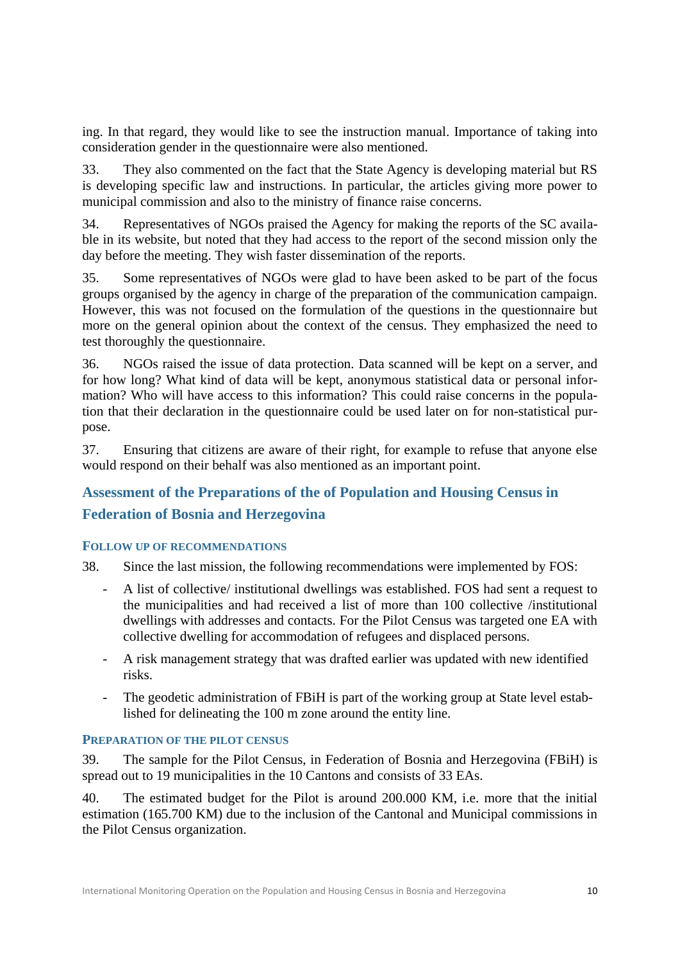ing. In that regard, they would like to see the instruction manual. Importance of taking into consideration gender in the questionnaire were also mentioned.

33. They also commented on the fact that the State Agency is developing material but RS is developing specific law and instructions. In particular, the articles giving more power to municipal commission and also to the ministry of finance raise concerns.

34. Representatives of NGOs praised the Agency for making the reports of the SC available in its website, but noted that they had access to the report of the second mission only the day before the meeting. They wish faster dissemination of the reports.

35. Some representatives of NGOs were glad to have been asked to be part of the focus groups organised by the agency in charge of the preparation of the communication campaign. However, this was not focused on the formulation of the questions in the questionnaire but more on the general opinion about the context of the census. They emphasized the need to test thoroughly the questionnaire.

36. NGOs raised the issue of data protection. Data scanned will be kept on a server, and for how long? What kind of data will be kept, anonymous statistical data or personal information? Who will have access to this information? This could raise concerns in the population that their declaration in the questionnaire could be used later on for non-statistical purpose.

37. Ensuring that citizens are aware of their right, for example to refuse that anyone else would respond on their behalf was also mentioned as an important point.

# <span id="page-9-0"></span>**Assessment of the Preparations of the of Population and Housing Census in Federation of Bosnia and Herzegovina**

## <span id="page-9-1"></span>**FOLLOW UP OF RECOMMENDATIONS**

38. Since the last mission, the following recommendations were implemented by FOS:

- A list of collective/ institutional dwellings was established. FOS had sent a request to the municipalities and had received a list of more than 100 collective /institutional dwellings with addresses and contacts. For the Pilot Census was targeted one EA with collective dwelling for accommodation of refugees and displaced persons.
- A risk management strategy that was drafted earlier was updated with new identified risks.
- The geodetic administration of FBiH is part of the working group at State level established for delineating the 100 m zone around the entity line.

## <span id="page-9-2"></span>**PREPARATION OF THE PILOT CENSUS**

39. The sample for the Pilot Census, in Federation of Bosnia and Herzegovina (FBiH) is spread out to 19 municipalities in the 10 Cantons and consists of 33 EAs.

40. The estimated budget for the Pilot is around 200.000 KM, i.e. more that the initial estimation (165.700 KM) due to the inclusion of the Cantonal and Municipal commissions in the Pilot Census organization.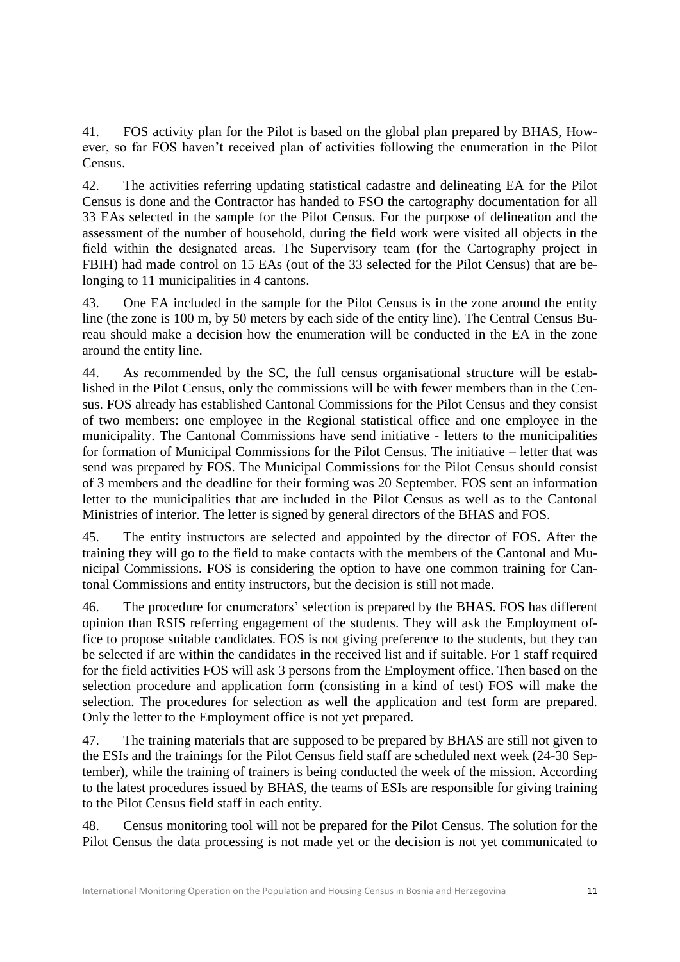41. FOS activity plan for the Pilot is based on the global plan prepared by BHAS, However, so far FOS haven't received plan of activities following the enumeration in the Pilot Census.

42. The activities referring updating statistical cadastre and delineating EA for the Pilot Census is done and the Contractor has handed to FSO the cartography documentation for all 33 EAs selected in the sample for the Pilot Census. For the purpose of delineation and the assessment of the number of household, during the field work were visited all objects in the field within the designated areas. The Supervisory team (for the Cartography project in FBIH) had made control on 15 EAs (out of the 33 selected for the Pilot Census) that are belonging to 11 municipalities in 4 cantons.

43. One EA included in the sample for the Pilot Census is in the zone around the entity line (the zone is 100 m, by 50 meters by each side of the entity line). The Central Census Bureau should make a decision how the enumeration will be conducted in the EA in the zone around the entity line.

44. As recommended by the SC, the full census organisational structure will be established in the Pilot Census, only the commissions will be with fewer members than in the Census. FOS already has established Cantonal Commissions for the Pilot Census and they consist of two members: one employee in the Regional statistical office and one employee in the municipality. The Cantonal Commissions have send initiative - letters to the municipalities for formation of Municipal Commissions for the Pilot Census. The initiative – letter that was send was prepared by FOS. The Municipal Commissions for the Pilot Census should consist of 3 members and the deadline for their forming was 20 September. FOS sent an information letter to the municipalities that are included in the Pilot Census as well as to the Cantonal Ministries of interior. The letter is signed by general directors of the BHAS and FOS.

45. The entity instructors are selected and appointed by the director of FOS. After the training they will go to the field to make contacts with the members of the Cantonal and Municipal Commissions. FOS is considering the option to have one common training for Cantonal Commissions and entity instructors, but the decision is still not made.

46. The procedure for enumerators' selection is prepared by the BHAS. FOS has different opinion than RSIS referring engagement of the students. They will ask the Employment office to propose suitable candidates. FOS is not giving preference to the students, but they can be selected if are within the candidates in the received list and if suitable. For 1 staff required for the field activities FOS will ask 3 persons from the Employment office. Then based on the selection procedure and application form (consisting in a kind of test) FOS will make the selection. The procedures for selection as well the application and test form are prepared. Only the letter to the Employment office is not yet prepared.

47. The training materials that are supposed to be prepared by BHAS are still not given to the ESIs and the trainings for the Pilot Census field staff are scheduled next week (24-30 September), while the training of trainers is being conducted the week of the mission. According to the latest procedures issued by BHAS, the teams of ESIs are responsible for giving training to the Pilot Census field staff in each entity.

48. Census monitoring tool will not be prepared for the Pilot Census. The solution for the Pilot Census the data processing is not made yet or the decision is not yet communicated to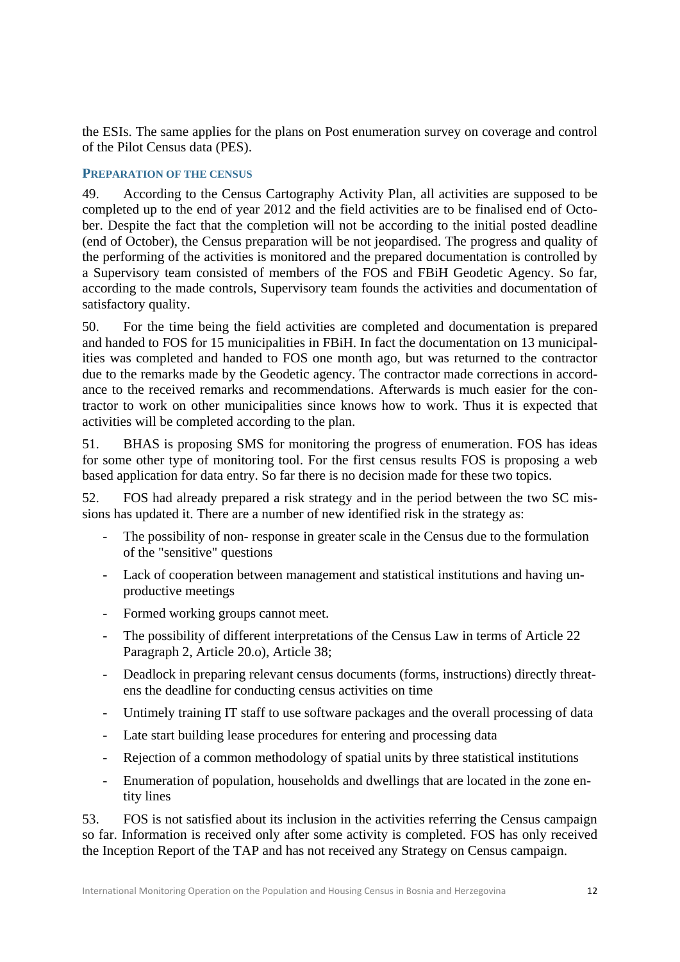the ESIs. The same applies for the plans on Post enumeration survey on coverage and control of the Pilot Census data (PES).

#### <span id="page-11-0"></span>**PREPARATION OF THE CENSUS**

49. According to the Census Cartography Activity Plan, all activities are supposed to be completed up to the end of year 2012 and the field activities are to be finalised end of October. Despite the fact that the completion will not be according to the initial posted deadline (end of October), the Census preparation will be not jeopardised. The progress and quality of the performing of the activities is monitored and the prepared documentation is controlled by a Supervisory team consisted of members of the FOS and FBiH Geodetic Agency. So far, according to the made controls, Supervisory team founds the activities and documentation of satisfactory quality.

50. For the time being the field activities are completed and documentation is prepared and handed to FOS for 15 municipalities in FBiH. In fact the documentation on 13 municipalities was completed and handed to FOS one month ago, but was returned to the contractor due to the remarks made by the Geodetic agency. The contractor made corrections in accordance to the received remarks and recommendations. Afterwards is much easier for the contractor to work on other municipalities since knows how to work. Thus it is expected that activities will be completed according to the plan.

51. BHAS is proposing SMS for monitoring the progress of enumeration. FOS has ideas for some other type of monitoring tool. For the first census results FOS is proposing a web based application for data entry. So far there is no decision made for these two topics.

52. FOS had already prepared a risk strategy and in the period between the two SC missions has updated it. There are a number of new identified risk in the strategy as:

- The possibility of non- response in greater scale in the Census due to the formulation of the "sensitive" questions
- Lack of cooperation between management and statistical institutions and having unproductive meetings
- Formed working groups cannot meet.
- The possibility of different interpretations of the Census Law in terms of Article 22 Paragraph 2, Article 20.o), Article 38;
- Deadlock in preparing relevant census documents (forms, instructions) directly threatens the deadline for conducting census activities on time
- Untimely training IT staff to use software packages and the overall processing of data
- Late start building lease procedures for entering and processing data
- Rejection of a common methodology of spatial units by three statistical institutions
- Enumeration of population, households and dwellings that are located in the zone entity lines

53. FOS is not satisfied about its inclusion in the activities referring the Census campaign so far. Information is received only after some activity is completed. FOS has only received the Inception Report of the TAP and has not received any Strategy on Census campaign.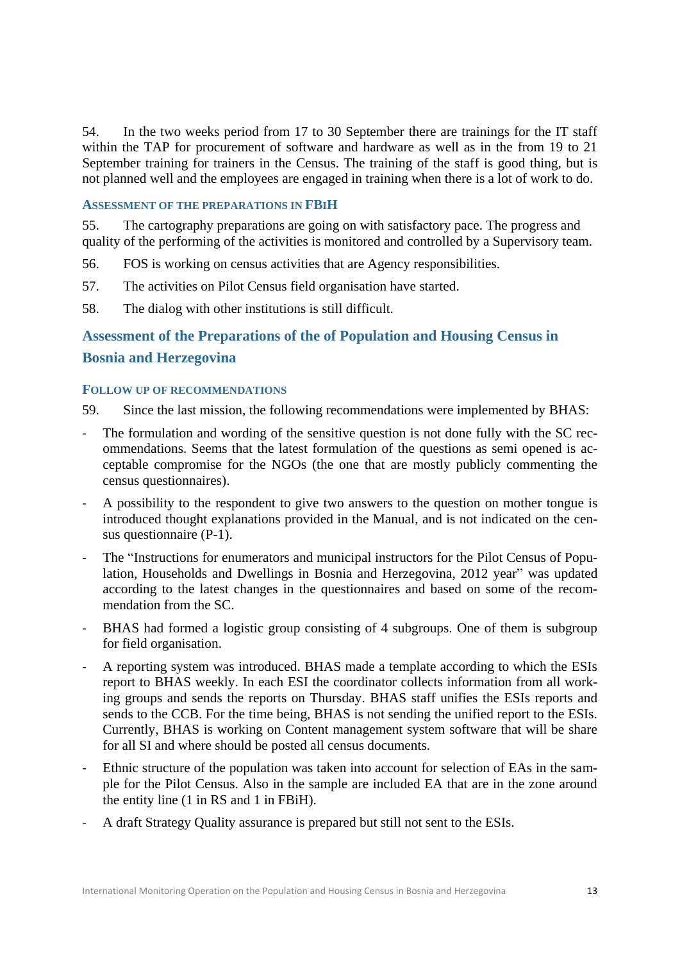54. In the two weeks period from 17 to 30 September there are trainings for the IT staff within the TAP for procurement of software and hardware as well as in the from 19 to 21 September training for trainers in the Census. The training of the staff is good thing, but is not planned well and the employees are engaged in training when there is a lot of work to do.

#### <span id="page-12-0"></span>**ASSESSMENT OF THE PREPARATIONS IN FBIH**

55. The cartography preparations are going on with satisfactory pace. The progress and quality of the performing of the activities is monitored and controlled by a Supervisory team.

56. FOS is working on census activities that are Agency responsibilities.

- 57. The activities on Pilot Census field organisation have started.
- 58. The dialog with other institutions is still difficult.

# <span id="page-12-1"></span>**Assessment of the Preparations of the of Population and Housing Census in Bosnia and Herzegovina**

## <span id="page-12-2"></span>**FOLLOW UP OF RECOMMENDATIONS**

59. Since the last mission, the following recommendations were implemented by BHAS:

- The formulation and wording of the sensitive question is not done fully with the SC recommendations. Seems that the latest formulation of the questions as semi opened is acceptable compromise for the NGOs (the one that are mostly publicly commenting the census questionnaires).
- A possibility to the respondent to give two answers to the question on mother tongue is introduced thought explanations provided in the Manual, and is not indicated on the census questionnaire (P-1).
- The "Instructions for enumerators and municipal instructors for the Pilot Census of Population, Households and Dwellings in Bosnia and Herzegovina, 2012 year" was updated according to the latest changes in the questionnaires and based on some of the recommendation from the SC.
- BHAS had formed a logistic group consisting of 4 subgroups. One of them is subgroup for field organisation.
- A reporting system was introduced. BHAS made a template according to which the ESIs report to BHAS weekly. In each ESI the coordinator collects information from all working groups and sends the reports on Thursday. BHAS staff unifies the ESIs reports and sends to the CCB. For the time being, BHAS is not sending the unified report to the ESIs. Currently, BHAS is working on Content management system software that will be share for all SI and where should be posted all census documents.
- Ethnic structure of the population was taken into account for selection of EAs in the sample for the Pilot Census. Also in the sample are included EA that are in the zone around the entity line (1 in RS and 1 in FBiH).
- A draft Strategy Quality assurance is prepared but still not sent to the ESIs.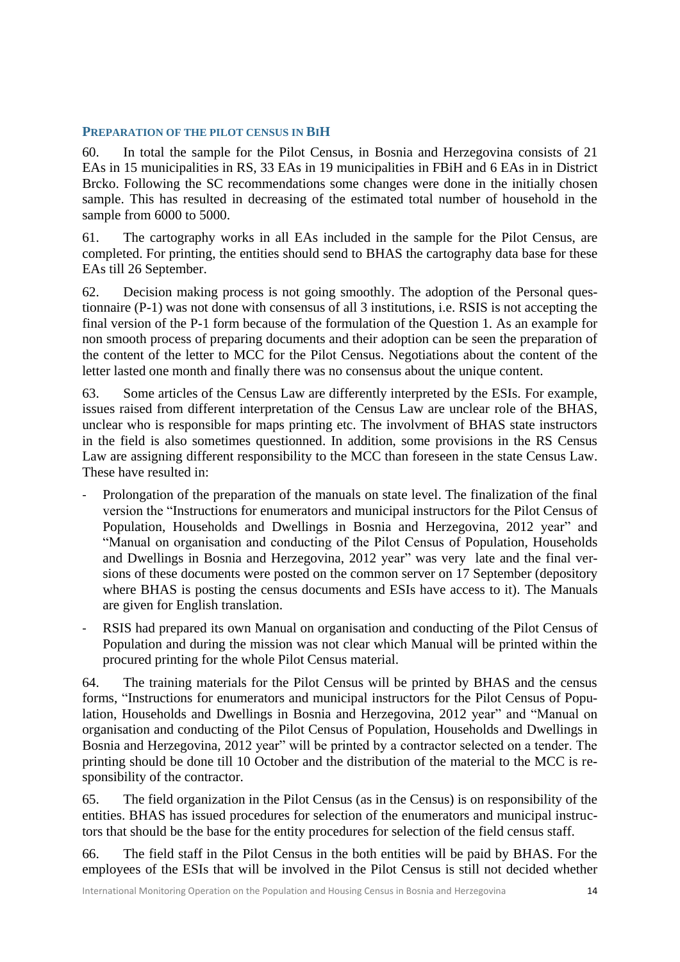## <span id="page-13-0"></span>**PREPARATION OF THE PILOT CENSUS IN BIH**

60. In total the sample for the Pilot Census, in Bosnia and Herzegovina consists of 21 EAs in 15 municipalities in RS, 33 EAs in 19 municipalities in FBiH and 6 EAs in in District Brcko. Following the SC recommendations some changes were done in the initially chosen sample. This has resulted in decreasing of the estimated total number of household in the sample from 6000 to 5000.

61. The cartography works in all EAs included in the sample for the Pilot Census, are completed. For printing, the entities should send to BHAS the cartography data base for these EAs till 26 September.

62. Decision making process is not going smoothly. The adoption of the Personal questionnaire (P-1) was not done with consensus of all 3 institutions, i.e. RSIS is not accepting the final version of the P-1 form because of the formulation of the Question 1. As an example for non smooth process of preparing documents and their adoption can be seen the preparation of the content of the letter to MCC for the Pilot Census. Negotiations about the content of the letter lasted one month and finally there was no consensus about the unique content.

63. Some articles of the Census Law are differently interpreted by the ESIs. For example, issues raised from different interpretation of the Census Law are unclear role of the BHAS, unclear who is responsible for maps printing etc. The involvment of BHAS state instructors in the field is also sometimes questionned. In addition, some provisions in the RS Census Law are assigning different responsibility to the MCC than foreseen in the state Census Law. These have resulted in:

- Prolongation of the preparation of the manuals on state level. The finalization of the final version the "Instructions for enumerators and municipal instructors for the Pilot Census of Population, Households and Dwellings in Bosnia and Herzegovina, 2012 year" and "Manual on organisation and conducting of the Pilot Census of Population, Households and Dwellings in Bosnia and Herzegovina, 2012 year" was very late and the final versions of these documents were posted on the common server on 17 September (depository where BHAS is posting the census documents and ESIs have access to it). The Manuals are given for English translation.
- RSIS had prepared its own Manual on organisation and conducting of the Pilot Census of Population and during the mission was not clear which Manual will be printed within the procured printing for the whole Pilot Census material.

64. The training materials for the Pilot Census will be printed by BHAS and the census forms, "Instructions for enumerators and municipal instructors for the Pilot Census of Population, Households and Dwellings in Bosnia and Herzegovina, 2012 year" and "Manual on organisation and conducting of the Pilot Census of Population, Households and Dwellings in Bosnia and Herzegovina, 2012 year" will be printed by a contractor selected on a tender. The printing should be done till 10 October and the distribution of the material to the MCC is responsibility of the contractor.

65. The field organization in the Pilot Census (as in the Census) is on responsibility of the entities. BHAS has issued procedures for selection of the enumerators and municipal instructors that should be the base for the entity procedures for selection of the field census staff.

66. The field staff in the Pilot Census in the both entities will be paid by BHAS. For the employees of the ESIs that will be involved in the Pilot Census is still not decided whether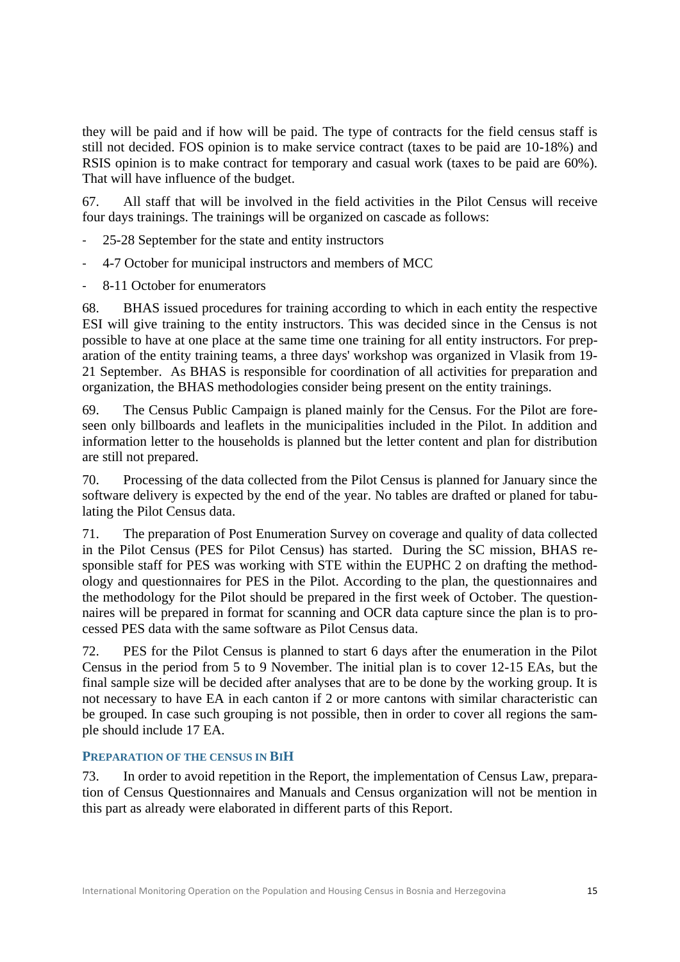they will be paid and if how will be paid. The type of contracts for the field census staff is still not decided. FOS opinion is to make service contract (taxes to be paid are 10-18%) and RSIS opinion is to make contract for temporary and casual work (taxes to be paid are 60%). That will have influence of the budget.

67. All staff that will be involved in the field activities in the Pilot Census will receive four days trainings. The trainings will be organized on cascade as follows:

- 25-28 September for the state and entity instructors
- 4-7 October for municipal instructors and members of MCC
- 8-11 October for enumerators

68. BHAS issued procedures for training according to which in each entity the respective ESI will give training to the entity instructors. This was decided since in the Census is not possible to have at one place at the same time one training for all entity instructors. For preparation of the entity training teams, a three days' workshop was organized in Vlasik from 19- 21 September. As BHAS is responsible for coordination of all activities for preparation and organization, the BHAS methodologies consider being present on the entity trainings.

69. The Census Public Campaign is planed mainly for the Census. For the Pilot are foreseen only billboards and leaflets in the municipalities included in the Pilot. In addition and information letter to the households is planned but the letter content and plan for distribution are still not prepared.

70. Processing of the data collected from the Pilot Census is planned for January since the software delivery is expected by the end of the year. No tables are drafted or planed for tabulating the Pilot Census data.

71. The preparation of Post Enumeration Survey on coverage and quality of data collected in the Pilot Census (PES for Pilot Census) has started. During the SC mission, BHAS responsible staff for PES was working with STE within the EUPHC 2 on drafting the methodology and questionnaires for PES in the Pilot. According to the plan, the questionnaires and the methodology for the Pilot should be prepared in the first week of October. The questionnaires will be prepared in format for scanning and OCR data capture since the plan is to processed PES data with the same software as Pilot Census data.

72. PES for the Pilot Census is planned to start 6 days after the enumeration in the Pilot Census in the period from 5 to 9 November. The initial plan is to cover 12-15 EAs, but the final sample size will be decided after analyses that are to be done by the working group. It is not necessary to have EA in each canton if 2 or more cantons with similar characteristic can be grouped. In case such grouping is not possible, then in order to cover all regions the sample should include 17 EA.

# <span id="page-14-0"></span>**PREPARATION OF THE CENSUS IN BIH**

73. In order to avoid repetition in the Report, the implementation of Census Law, preparation of Census Questionnaires and Manuals and Census organization will not be mention in this part as already were elaborated in different parts of this Report.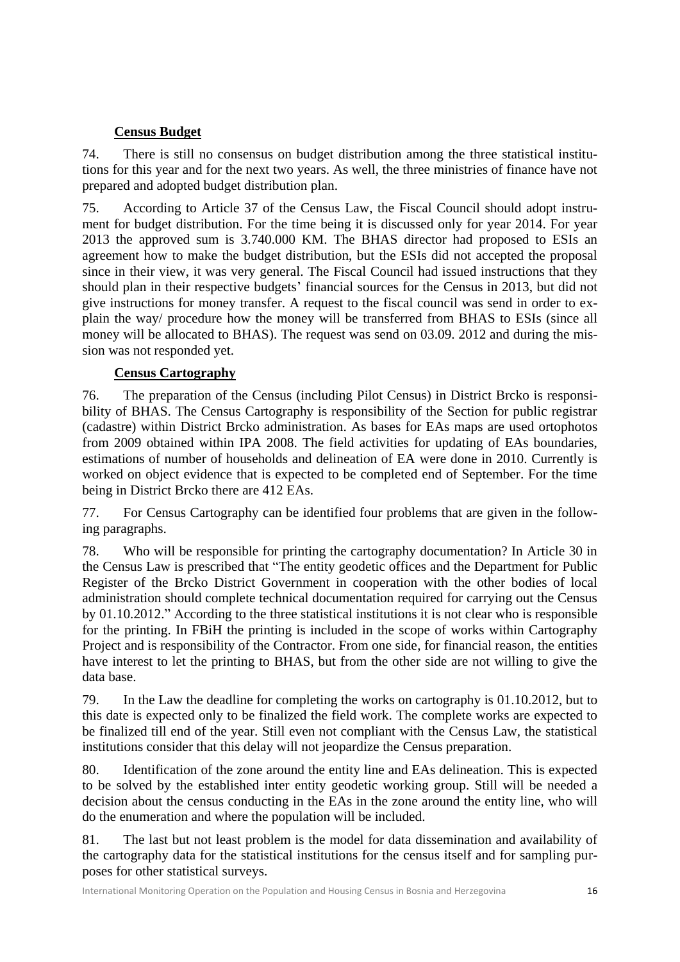# **Census Budget**

<span id="page-15-0"></span>74. There is still no consensus on budget distribution among the three statistical institutions for this year and for the next two years. As well, the three ministries of finance have not prepared and adopted budget distribution plan.

75. According to Article 37 of the Census Law, the Fiscal Council should adopt instrument for budget distribution. For the time being it is discussed only for year 2014. For year 2013 the approved sum is 3.740.000 KM. The BHAS director had proposed to ESIs an agreement how to make the budget distribution, but the ESIs did not accepted the proposal since in their view, it was very general. The Fiscal Council had issued instructions that they should plan in their respective budgets' financial sources for the Census in 2013, but did not give instructions for money transfer. A request to the fiscal council was send in order to explain the way/ procedure how the money will be transferred from BHAS to ESIs (since all money will be allocated to BHAS). The request was send on 03.09. 2012 and during the mission was not responded yet.

# **Census Cartography**

<span id="page-15-1"></span>76. The preparation of the Census (including Pilot Census) in District Brcko is responsibility of BHAS. The Census Cartography is responsibility of the Section for public registrar (cadastre) within District Brcko administration. As bases for EAs maps are used ortophotos from 2009 obtained within IPA 2008. The field activities for updating of EAs boundaries, estimations of number of households and delineation of EA were done in 2010. Currently is worked on object evidence that is expected to be completed end of September. For the time being in District Brcko there are 412 EAs.

77. For Census Cartography can be identified four problems that are given in the following paragraphs.

78. Who will be responsible for printing the cartography documentation? In Article 30 in the Census Law is prescribed that "The entity geodetic offices and the Department for Public Register of the Brcko District Government in cooperation with the other bodies of local administration should complete technical documentation required for carrying out the Census by 01.10.2012." According to the three statistical institutions it is not clear who is responsible for the printing. In FBiH the printing is included in the scope of works within Cartography Project and is responsibility of the Contractor. From one side, for financial reason, the entities have interest to let the printing to BHAS, but from the other side are not willing to give the data base.

79. In the Law the deadline for completing the works on cartography is 01.10.2012, but to this date is expected only to be finalized the field work. The complete works are expected to be finalized till end of the year. Still even not compliant with the Census Law, the statistical institutions consider that this delay will not jeopardize the Census preparation.

80. Identification of the zone around the entity line and EAs delineation. This is expected to be solved by the established inter entity geodetic working group. Still will be needed a decision about the census conducting in the EAs in the zone around the entity line, who will do the enumeration and where the population will be included.

81. The last but not least problem is the model for data dissemination and availability of the cartography data for the statistical institutions for the census itself and for sampling purposes for other statistical surveys.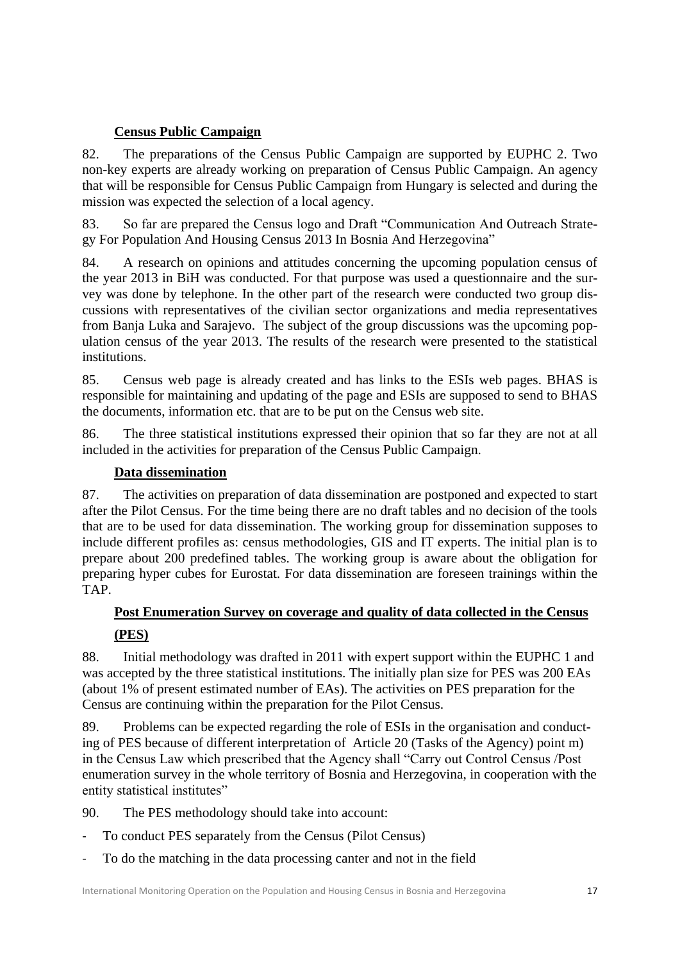# **Census Public Campaign**

<span id="page-16-0"></span>82. The preparations of the Census Public Campaign are supported by EUPHC 2. Two non-key experts are already working on preparation of Census Public Campaign. An agency that will be responsible for Census Public Campaign from Hungary is selected and during the mission was expected the selection of a local agency.

83. So far are prepared the Census logo and Draft "Communication And Outreach Strategy For Population And Housing Census 2013 In Bosnia And Herzegovina"

84. A research on opinions and attitudes concerning the upcoming population census of the year 2013 in BiH was conducted. For that purpose was used a questionnaire and the survey was done by telephone. In the other part of the research were conducted two group discussions with representatives of the civilian sector organizations and media representatives from Banja Luka and Sarajevo. The subject of the group discussions was the upcoming population census of the year 2013. The results of the research were presented to the statistical institutions.

85. Census web page is already created and has links to the ESIs web pages. BHAS is responsible for maintaining and updating of the page and ESIs are supposed to send to BHAS the documents, information etc. that are to be put on the Census web site.

86. The three statistical institutions expressed their opinion that so far they are not at all included in the activities for preparation of the Census Public Campaign.

# **Data dissemination**

<span id="page-16-1"></span>87. The activities on preparation of data dissemination are postponed and expected to start after the Pilot Census. For the time being there are no draft tables and no decision of the tools that are to be used for data dissemination. The working group for dissemination supposes to include different profiles as: census methodologies, GIS and IT experts. The initial plan is to prepare about 200 predefined tables. The working group is aware about the obligation for preparing hyper cubes for Eurostat. For data dissemination are foreseen trainings within the TAP.

# <span id="page-16-2"></span>**Post Enumeration Survey on coverage and quality of data collected in the Census (PES)**

<span id="page-16-3"></span>88. Initial methodology was drafted in 2011 with expert support within the EUPHC 1 and was accepted by the three statistical institutions. The initially plan size for PES was 200 EAs (about 1% of present estimated number of EAs). The activities on PES preparation for the Census are continuing within the preparation for the Pilot Census.

89. Problems can be expected regarding the role of ESIs in the organisation and conducting of PES because of different interpretation of Article 20 (Tasks of the Agency) point m) in the Census Law which prescribed that the Agency shall "Carry out Control Census /Post enumeration survey in the whole territory of Bosnia and Herzegovina, in cooperation with the entity statistical institutes"

90. The PES methodology should take into account:

- To conduct PES separately from the Census (Pilot Census)
- To do the matching in the data processing canter and not in the field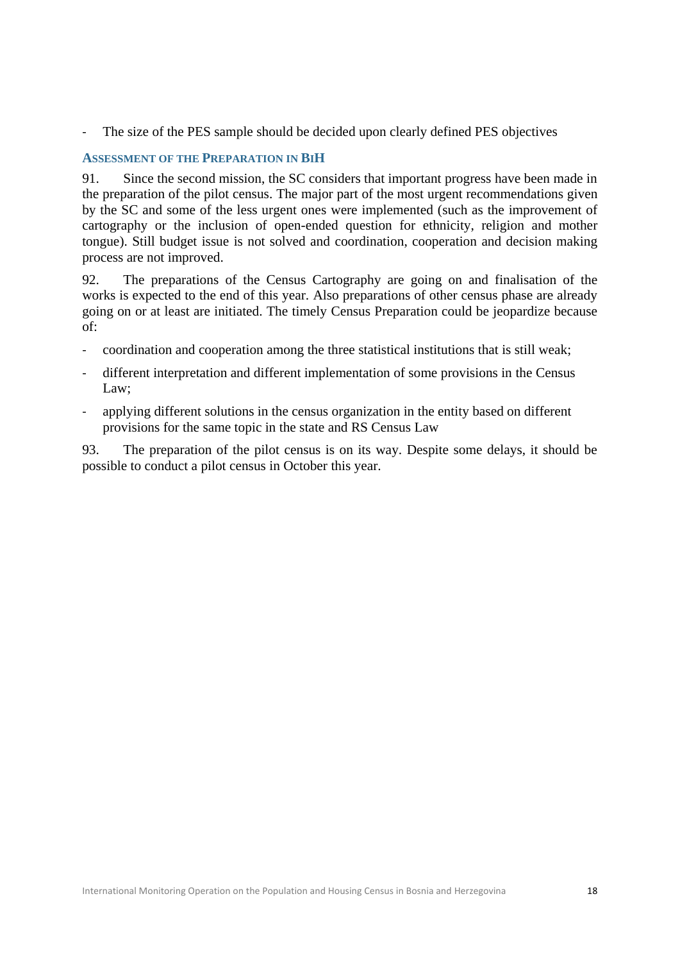The size of the PES sample should be decided upon clearly defined PES objectives

# <span id="page-17-0"></span>**ASSESSMENT OF THE PREPARATION IN BIH**

91. Since the second mission, the SC considers that important progress have been made in the preparation of the pilot census. The major part of the most urgent recommendations given by the SC and some of the less urgent ones were implemented (such as the improvement of cartography or the inclusion of open-ended question for ethnicity, religion and mother tongue). Still budget issue is not solved and coordination, cooperation and decision making process are not improved.

92. The preparations of the Census Cartography are going on and finalisation of the works is expected to the end of this year. Also preparations of other census phase are already going on or at least are initiated. The timely Census Preparation could be jeopardize because of:

- coordination and cooperation among the three statistical institutions that is still weak;
- different interpretation and different implementation of some provisions in the Census Law;
- applying different solutions in the census organization in the entity based on different provisions for the same topic in the state and RS Census Law

93. The preparation of the pilot census is on its way. Despite some delays, it should be possible to conduct a pilot census in October this year.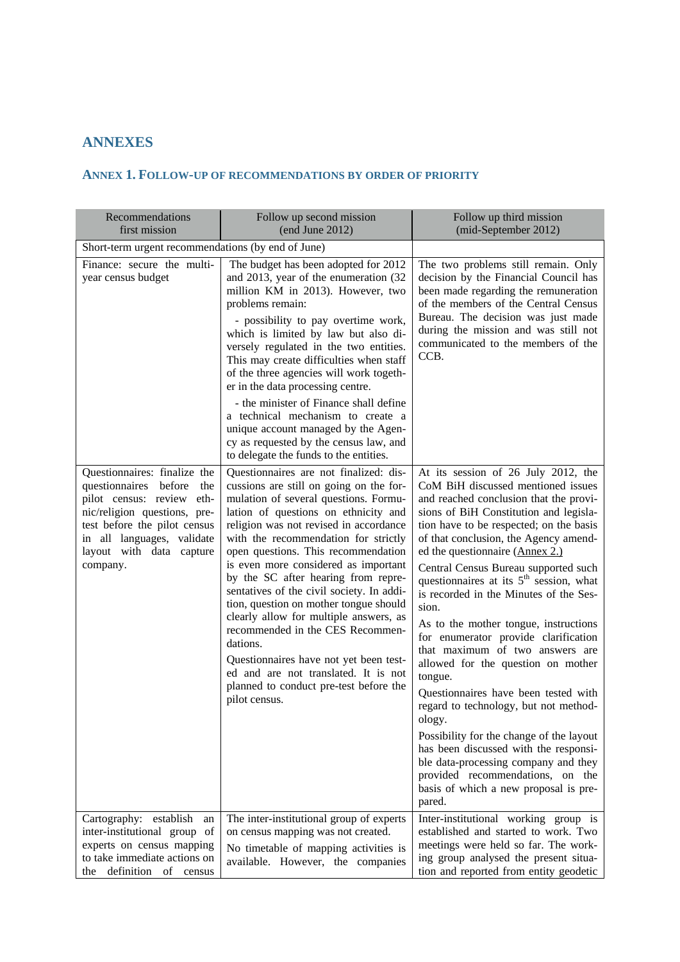# <span id="page-18-0"></span>**ANNEXES**

# <span id="page-18-1"></span>**ANNEX 1. FOLLOW-UP OF RECOMMENDATIONS BY ORDER OF PRIORITY**

| Recommendations<br>first mission                                                                                                                                                                                                | Follow up second mission<br>(end June 2012)                                                                                                                                                                                                                                                                                                                                                                                                                                                                                                                                                                                                                                                              | Follow up third mission<br>(mid-September 2012)                                                                                                                                                                                                                                                                                                                                                                                                                                                                                                                                                                                                                                                                                                                                                                                                                                                                  |
|---------------------------------------------------------------------------------------------------------------------------------------------------------------------------------------------------------------------------------|----------------------------------------------------------------------------------------------------------------------------------------------------------------------------------------------------------------------------------------------------------------------------------------------------------------------------------------------------------------------------------------------------------------------------------------------------------------------------------------------------------------------------------------------------------------------------------------------------------------------------------------------------------------------------------------------------------|------------------------------------------------------------------------------------------------------------------------------------------------------------------------------------------------------------------------------------------------------------------------------------------------------------------------------------------------------------------------------------------------------------------------------------------------------------------------------------------------------------------------------------------------------------------------------------------------------------------------------------------------------------------------------------------------------------------------------------------------------------------------------------------------------------------------------------------------------------------------------------------------------------------|
| Short-term urgent recommendations (by end of June)                                                                                                                                                                              |                                                                                                                                                                                                                                                                                                                                                                                                                                                                                                                                                                                                                                                                                                          |                                                                                                                                                                                                                                                                                                                                                                                                                                                                                                                                                                                                                                                                                                                                                                                                                                                                                                                  |
| Finance: secure the multi-<br>year census budget                                                                                                                                                                                | The budget has been adopted for 2012<br>and 2013, year of the enumeration (32<br>million KM in 2013). However, two<br>problems remain:<br>- possibility to pay overtime work,<br>which is limited by law but also di-<br>versely regulated in the two entities.<br>This may create difficulties when staff<br>of the three agencies will work togeth-<br>er in the data processing centre.                                                                                                                                                                                                                                                                                                               | The two problems still remain. Only<br>decision by the Financial Council has<br>been made regarding the remuneration<br>of the members of the Central Census<br>Bureau. The decision was just made<br>during the mission and was still not<br>communicated to the members of the<br>CCB.                                                                                                                                                                                                                                                                                                                                                                                                                                                                                                                                                                                                                         |
|                                                                                                                                                                                                                                 | - the minister of Finance shall define<br>a technical mechanism to create a<br>unique account managed by the Agen-<br>cy as requested by the census law, and<br>to delegate the funds to the entities.                                                                                                                                                                                                                                                                                                                                                                                                                                                                                                   |                                                                                                                                                                                                                                                                                                                                                                                                                                                                                                                                                                                                                                                                                                                                                                                                                                                                                                                  |
| Questionnaires: finalize the<br>questionnaires before<br>the<br>pilot census: review eth-<br>nic/religion questions, pre-<br>test before the pilot census<br>in all languages, validate<br>layout with data capture<br>company. | Questionnaires are not finalized: dis-<br>cussions are still on going on the for-<br>mulation of several questions. Formu-<br>lation of questions on ethnicity and<br>religion was not revised in accordance<br>with the recommendation for strictly<br>open questions. This recommendation<br>is even more considered as important<br>by the SC after hearing from repre-<br>sentatives of the civil society. In addi-<br>tion, question on mother tongue should<br>clearly allow for multiple answers, as<br>recommended in the CES Recommen-<br>dations.<br>Questionnaires have not yet been test-<br>ed and are not translated. It is not<br>planned to conduct pre-test before the<br>pilot census. | At its session of 26 July 2012, the<br>CoM BiH discussed mentioned issues<br>and reached conclusion that the provi-<br>sions of BiH Constitution and legisla-<br>tion have to be respected; on the basis<br>of that conclusion, the Agency amend-<br>ed the questionnaire (Annex 2.)<br>Central Census Bureau supported such<br>questionnaires at its $5th$ session, what<br>is recorded in the Minutes of the Ses-<br>sion.<br>As to the mother tongue, instructions<br>for enumerator provide clarification<br>that maximum of two answers are<br>allowed for the question on mother<br>tongue.<br>Questionnaires have been tested with<br>regard to technology, but not method-<br>ology.<br>Possibility for the change of the layout<br>has been discussed with the responsi-<br>ble data-processing company and they<br>provided recommendations, on the<br>basis of which a new proposal is pre-<br>pared. |
| Cartography: establish<br>an<br>inter-institutional group of<br>experts on census mapping<br>to take immediate actions on<br>definition of<br>the<br>census                                                                     | The inter-institutional group of experts<br>on census mapping was not created.<br>No timetable of mapping activities is<br>available. However, the companies                                                                                                                                                                                                                                                                                                                                                                                                                                                                                                                                             | Inter-institutional working group is<br>established and started to work. Two<br>meetings were held so far. The work-<br>ing group analysed the present situa-<br>tion and reported from entity geodetic                                                                                                                                                                                                                                                                                                                                                                                                                                                                                                                                                                                                                                                                                                          |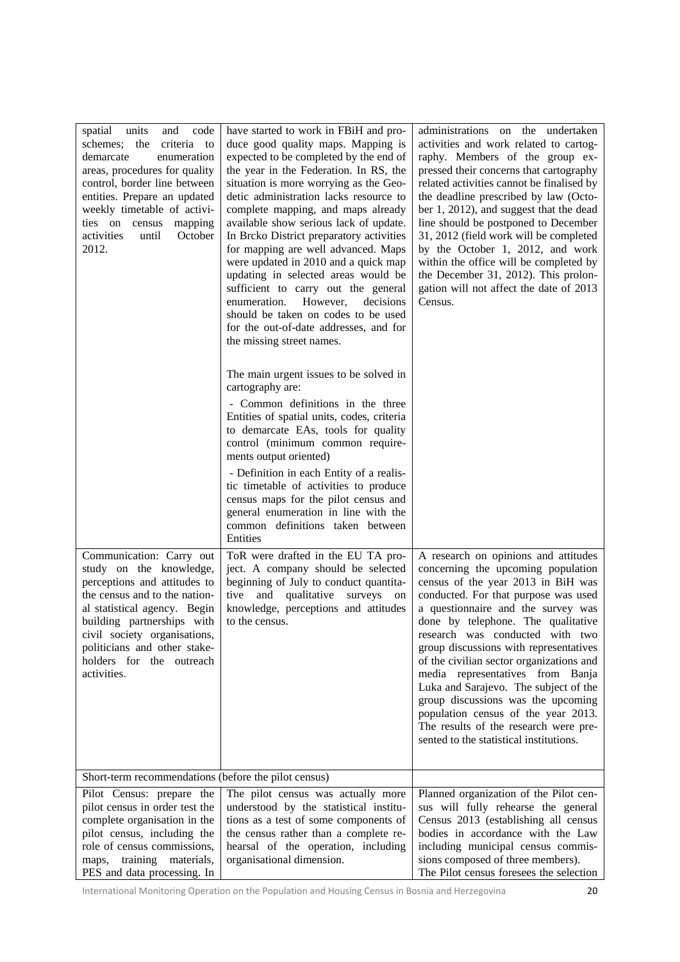| spatial units<br>code<br>and<br>schemes;<br>the<br>criteria to<br>demarcate<br>enumeration<br>areas, procedures for quality<br>control, border line between<br>entities. Prepare an updated<br>weekly timetable of activi-<br>ties on census<br>mapping<br>activities<br>until<br>October<br>2012. | have started to work in FBiH and pro-<br>duce good quality maps. Mapping is<br>expected to be completed by the end of<br>the year in the Federation. In RS, the<br>situation is more worrying as the Geo-<br>detic administration lacks resource to<br>complete mapping, and maps already<br>available show serious lack of update.<br>In Brcko District preparatory activities<br>for mapping are well advanced. Maps<br>were updated in 2010 and a quick map<br>updating in selected areas would be<br>sufficient to carry out the general<br>enumeration.<br>However,<br>decisions<br>should be taken on codes to be used<br>for the out-of-date addresses, and for<br>the missing street names. | administrations on the undertaken<br>activities and work related to cartog-<br>raphy. Members of the group ex-<br>pressed their concerns that cartography<br>related activities cannot be finalised by<br>the deadline prescribed by law (Octo-<br>ber 1, 2012), and suggest that the dead<br>line should be postponed to December<br>31, 2012 (field work will be completed<br>by the October 1, 2012, and work<br>within the office will be completed by<br>the December 31, 2012). This prolon-<br>gation will not affect the date of 2013<br>Census.                                                    |
|----------------------------------------------------------------------------------------------------------------------------------------------------------------------------------------------------------------------------------------------------------------------------------------------------|-----------------------------------------------------------------------------------------------------------------------------------------------------------------------------------------------------------------------------------------------------------------------------------------------------------------------------------------------------------------------------------------------------------------------------------------------------------------------------------------------------------------------------------------------------------------------------------------------------------------------------------------------------------------------------------------------------|-------------------------------------------------------------------------------------------------------------------------------------------------------------------------------------------------------------------------------------------------------------------------------------------------------------------------------------------------------------------------------------------------------------------------------------------------------------------------------------------------------------------------------------------------------------------------------------------------------------|
|                                                                                                                                                                                                                                                                                                    | The main urgent issues to be solved in<br>cartography are:<br>- Common definitions in the three<br>Entities of spatial units, codes, criteria<br>to demarcate EAs, tools for quality<br>control (minimum common require-<br>ments output oriented)                                                                                                                                                                                                                                                                                                                                                                                                                                                  |                                                                                                                                                                                                                                                                                                                                                                                                                                                                                                                                                                                                             |
|                                                                                                                                                                                                                                                                                                    | - Definition in each Entity of a realis-<br>tic timetable of activities to produce<br>census maps for the pilot census and<br>general enumeration in line with the<br>common definitions taken between<br>Entities                                                                                                                                                                                                                                                                                                                                                                                                                                                                                  |                                                                                                                                                                                                                                                                                                                                                                                                                                                                                                                                                                                                             |
| Communication: Carry out<br>study on the knowledge,<br>perceptions and attitudes to<br>the census and to the nation-<br>al statistical agency. Begin<br>building partnerships with<br>civil society organisations,<br>politicians and other stake-<br>holders for the outreach<br>activities.      | ToR were drafted in the EU TA pro-<br>ject. A company should be selected<br>beginning of July to conduct quantita-<br>tive and qualitative surveys on<br>knowledge, perceptions and attitudes<br>to the census.                                                                                                                                                                                                                                                                                                                                                                                                                                                                                     | A research on opinions and attitudes<br>concerning the upcoming population<br>census of the year 2013 in BiH was<br>conducted. For that purpose was used<br>a questionnaire and the survey was<br>done by telephone. The qualitative<br>research was conducted with two<br>group discussions with representatives<br>of the civilian sector organizations and<br>media representatives from Banja<br>Luka and Sarajevo. The subject of the<br>group discussions was the upcoming<br>population census of the year 2013.<br>The results of the research were pre-<br>sented to the statistical institutions. |
| Short-term recommendations (before the pilot census)                                                                                                                                                                                                                                               |                                                                                                                                                                                                                                                                                                                                                                                                                                                                                                                                                                                                                                                                                                     |                                                                                                                                                                                                                                                                                                                                                                                                                                                                                                                                                                                                             |
| Pilot Census: prepare the<br>pilot census in order test the<br>complete organisation in the<br>pilot census, including the<br>role of census commissions,<br>maps, training materials,<br>PES and data processing. In                                                                              | The pilot census was actually more<br>understood by the statistical institu-<br>tions as a test of some components of<br>the census rather than a complete re-<br>hearsal of the operation, including<br>organisational dimension.                                                                                                                                                                                                                                                                                                                                                                                                                                                                  | Planned organization of the Pilot cen-<br>sus will fully rehearse the general<br>Census 2013 (establishing all census<br>bodies in accordance with the Law<br>including municipal census commis-<br>sions composed of three members).<br>The Pilot census foresees the selection                                                                                                                                                                                                                                                                                                                            |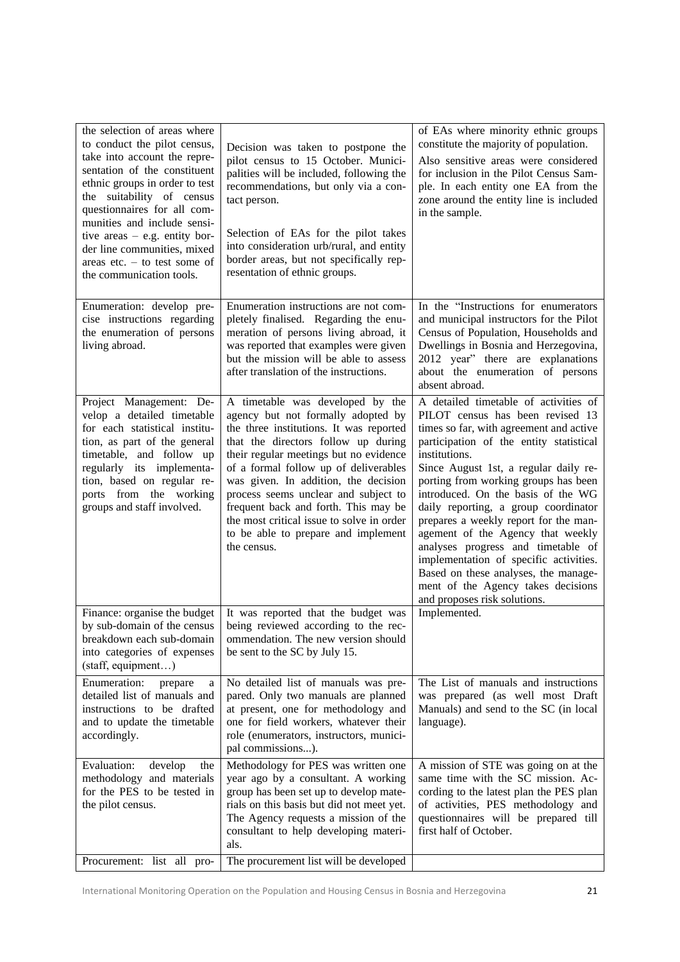| the selection of areas where<br>to conduct the pilot census,<br>take into account the repre-<br>sentation of the constituent<br>ethnic groups in order to test<br>the suitability of census<br>questionnaires for all com-<br>munities and include sensi-<br>tive areas $-$ e.g. entity bor-<br>der line communities, mixed<br>areas etc. $-$ to test some of<br>the communication tools. | Decision was taken to postpone the<br>pilot census to 15 October. Munici-<br>palities will be included, following the<br>recommendations, but only via a con-<br>tact person.<br>Selection of EAs for the pilot takes<br>into consideration urb/rural, and entity<br>border areas, but not specifically rep-<br>resentation of ethnic groups.                                                                                                                          | of EAs where minority ethnic groups<br>constitute the majority of population.<br>Also sensitive areas were considered<br>for inclusion in the Pilot Census Sam-<br>ple. In each entity one EA from the<br>zone around the entity line is included<br>in the sample.                                                                                                                                                                                                                                                                                                                                                         |
|-------------------------------------------------------------------------------------------------------------------------------------------------------------------------------------------------------------------------------------------------------------------------------------------------------------------------------------------------------------------------------------------|------------------------------------------------------------------------------------------------------------------------------------------------------------------------------------------------------------------------------------------------------------------------------------------------------------------------------------------------------------------------------------------------------------------------------------------------------------------------|-----------------------------------------------------------------------------------------------------------------------------------------------------------------------------------------------------------------------------------------------------------------------------------------------------------------------------------------------------------------------------------------------------------------------------------------------------------------------------------------------------------------------------------------------------------------------------------------------------------------------------|
| Enumeration: develop pre-<br>cise instructions regarding<br>the enumeration of persons<br>living abroad.                                                                                                                                                                                                                                                                                  | Enumeration instructions are not com-<br>pletely finalised. Regarding the enu-<br>meration of persons living abroad, it<br>was reported that examples were given<br>but the mission will be able to assess<br>after translation of the instructions.                                                                                                                                                                                                                   | In the "Instructions for enumerators<br>and municipal instructors for the Pilot<br>Census of Population, Households and<br>Dwellings in Bosnia and Herzegovina,<br>2012 year" there are explanations<br>about the enumeration of persons<br>absent abroad.                                                                                                                                                                                                                                                                                                                                                                  |
| Project Management: De-<br>velop a detailed timetable<br>for each statistical institu-<br>tion, as part of the general<br>timetable, and follow up<br>regularly its implementa-<br>tion, based on regular re-<br>ports from the working<br>groups and staff involved.                                                                                                                     | A timetable was developed by the<br>agency but not formally adopted by<br>the three institutions. It was reported<br>that the directors follow up during<br>their regular meetings but no evidence<br>of a formal follow up of deliverables<br>was given. In addition, the decision<br>process seems unclear and subject to<br>frequent back and forth. This may be<br>the most critical issue to solve in order<br>to be able to prepare and implement<br>the census. | A detailed timetable of activities of<br>PILOT census has been revised 13<br>times so far, with agreement and active<br>participation of the entity statistical<br>institutions.<br>Since August 1st, a regular daily re-<br>porting from working groups has been<br>introduced. On the basis of the WG<br>daily reporting, a group coordinator<br>prepares a weekly report for the man-<br>agement of the Agency that weekly<br>analyses progress and timetable of<br>implementation of specific activities.<br>Based on these analyses, the manage-<br>ment of the Agency takes decisions<br>and proposes risk solutions. |
| Finance: organise the budget<br>by sub-domain of the census<br>breakdown each sub-domain<br>into categories of expenses<br>(staff, equipment)                                                                                                                                                                                                                                             | It was reported that the budget was<br>being reviewed according to the rec-<br>ommendation. The new version should<br>be sent to the SC by July 15.                                                                                                                                                                                                                                                                                                                    | Implemented.                                                                                                                                                                                                                                                                                                                                                                                                                                                                                                                                                                                                                |
| Enumeration:<br>prepare<br>a<br>detailed list of manuals and<br>instructions to be drafted<br>and to update the timetable<br>accordingly.                                                                                                                                                                                                                                                 | No detailed list of manuals was pre-<br>pared. Only two manuals are planned<br>at present, one for methodology and<br>one for field workers, whatever their<br>role (enumerators, instructors, munici-<br>pal commissions).                                                                                                                                                                                                                                            | The List of manuals and instructions<br>was prepared (as well most Draft<br>Manuals) and send to the SC (in local<br>language).                                                                                                                                                                                                                                                                                                                                                                                                                                                                                             |
| develop<br>Evaluation:<br>the<br>methodology and materials<br>for the PES to be tested in<br>the pilot census.                                                                                                                                                                                                                                                                            | Methodology for PES was written one<br>year ago by a consultant. A working<br>group has been set up to develop mate-<br>rials on this basis but did not meet yet.<br>The Agency requests a mission of the<br>consultant to help developing materi-<br>als.                                                                                                                                                                                                             | A mission of STE was going on at the<br>same time with the SC mission. Ac-<br>cording to the latest plan the PES plan<br>of activities, PES methodology and<br>questionnaires will be prepared till<br>first half of October.                                                                                                                                                                                                                                                                                                                                                                                               |
| Procurement: list all pro-                                                                                                                                                                                                                                                                                                                                                                | The procurement list will be developed                                                                                                                                                                                                                                                                                                                                                                                                                                 |                                                                                                                                                                                                                                                                                                                                                                                                                                                                                                                                                                                                                             |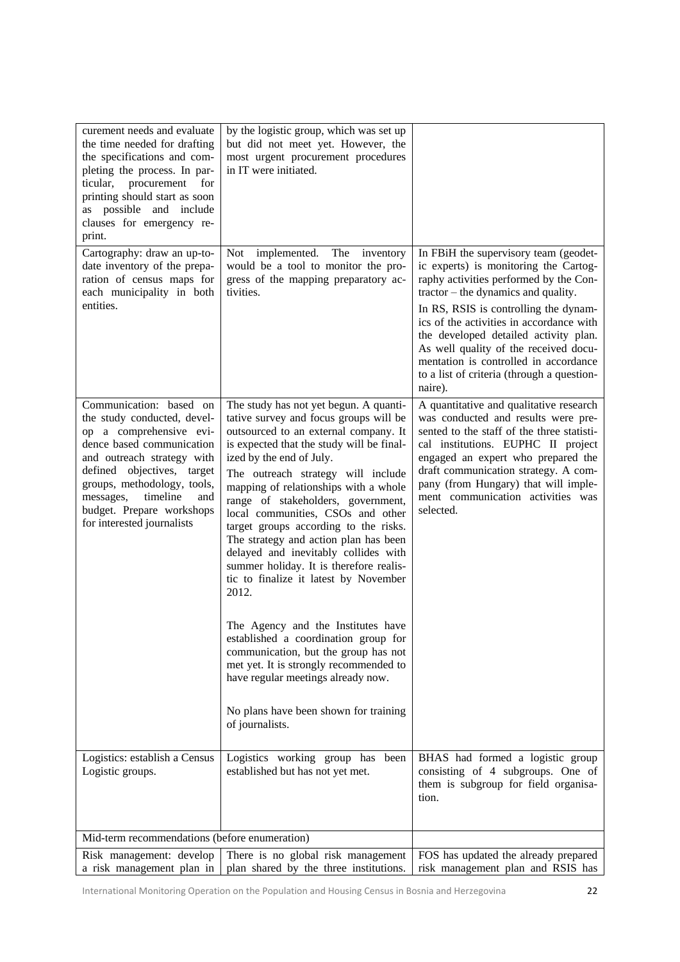| curement needs and evaluate<br>the time needed for drafting                                                                                                                                                                                                                                          | by the logistic group, which was set up<br>but did not meet yet. However, the                                                                                                                                                                                                                                                                                                                                                                                                                                                                                                                                                                                                                                                                                                                                                                         |                                                                                                                                                                                                                                                                                                                                            |
|------------------------------------------------------------------------------------------------------------------------------------------------------------------------------------------------------------------------------------------------------------------------------------------------------|-------------------------------------------------------------------------------------------------------------------------------------------------------------------------------------------------------------------------------------------------------------------------------------------------------------------------------------------------------------------------------------------------------------------------------------------------------------------------------------------------------------------------------------------------------------------------------------------------------------------------------------------------------------------------------------------------------------------------------------------------------------------------------------------------------------------------------------------------------|--------------------------------------------------------------------------------------------------------------------------------------------------------------------------------------------------------------------------------------------------------------------------------------------------------------------------------------------|
| the specifications and com-<br>pleting the process. In par-<br>ticular, procurement<br>for<br>printing should start as soon<br>as possible and include<br>clauses for emergency re-                                                                                                                  | most urgent procurement procedures<br>in IT were initiated.                                                                                                                                                                                                                                                                                                                                                                                                                                                                                                                                                                                                                                                                                                                                                                                           |                                                                                                                                                                                                                                                                                                                                            |
| print.                                                                                                                                                                                                                                                                                               |                                                                                                                                                                                                                                                                                                                                                                                                                                                                                                                                                                                                                                                                                                                                                                                                                                                       |                                                                                                                                                                                                                                                                                                                                            |
| Cartography: draw an up-to-<br>date inventory of the prepa-<br>ration of census maps for<br>each municipality in both<br>entities.                                                                                                                                                                   | Not implemented.<br>The inventory<br>would be a tool to monitor the pro-<br>gress of the mapping preparatory ac-<br>tivities.                                                                                                                                                                                                                                                                                                                                                                                                                                                                                                                                                                                                                                                                                                                         | In FBiH the supervisory team (geodet-<br>ic experts) is monitoring the Cartog-<br>raphy activities performed by the Con-<br>tractor – the dynamics and quality.<br>In RS, RSIS is controlling the dynam-                                                                                                                                   |
|                                                                                                                                                                                                                                                                                                      |                                                                                                                                                                                                                                                                                                                                                                                                                                                                                                                                                                                                                                                                                                                                                                                                                                                       | ics of the activities in accordance with<br>the developed detailed activity plan.<br>As well quality of the received docu-<br>mentation is controlled in accordance<br>to a list of criteria (through a question-<br>naire).                                                                                                               |
| Communication: based on<br>the study conducted, devel-<br>op a comprehensive evi-<br>dence based communication<br>and outreach strategy with<br>defined objectives, target<br>groups, methodology, tools,<br>messages,<br>timeline<br>and<br>budget. Prepare workshops<br>for interested journalists | The study has not yet begun. A quanti-<br>tative survey and focus groups will be<br>outsourced to an external company. It<br>is expected that the study will be final-<br>ized by the end of July.<br>The outreach strategy will include<br>mapping of relationships with a whole<br>range of stakeholders, government,<br>local communities, CSOs and other<br>target groups according to the risks.<br>The strategy and action plan has been<br>delayed and inevitably collides with<br>summer holiday. It is therefore realis-<br>tic to finalize it latest by November<br>2012.<br>The Agency and the Institutes have<br>established a coordination group for<br>communication, but the group has not<br>met yet. It is strongly recommended to<br>have regular meetings already now.<br>No plans have been shown for training<br>of journalists. | A quantitative and qualitative research<br>was conducted and results were pre-<br>sented to the staff of the three statisti-<br>cal institutions. EUPHC II project<br>engaged an expert who prepared the<br>draft communication strategy. A com-<br>pany (from Hungary) that will imple-<br>ment communication activities was<br>selected. |
| Logistics: establish a Census<br>Logistic groups.                                                                                                                                                                                                                                                    | Logistics working group has<br>been<br>established but has not yet met.                                                                                                                                                                                                                                                                                                                                                                                                                                                                                                                                                                                                                                                                                                                                                                               | BHAS had formed a logistic group<br>consisting of 4 subgroups. One of<br>them is subgroup for field organisa-<br>tion.                                                                                                                                                                                                                     |
| Mid-term recommendations (before enumeration)                                                                                                                                                                                                                                                        |                                                                                                                                                                                                                                                                                                                                                                                                                                                                                                                                                                                                                                                                                                                                                                                                                                                       |                                                                                                                                                                                                                                                                                                                                            |
| Risk management: develop                                                                                                                                                                                                                                                                             | There is no global risk management                                                                                                                                                                                                                                                                                                                                                                                                                                                                                                                                                                                                                                                                                                                                                                                                                    | FOS has updated the already prepared                                                                                                                                                                                                                                                                                                       |
| a risk management plan in                                                                                                                                                                                                                                                                            | plan shared by the three institutions.                                                                                                                                                                                                                                                                                                                                                                                                                                                                                                                                                                                                                                                                                                                                                                                                                | risk management plan and RSIS has                                                                                                                                                                                                                                                                                                          |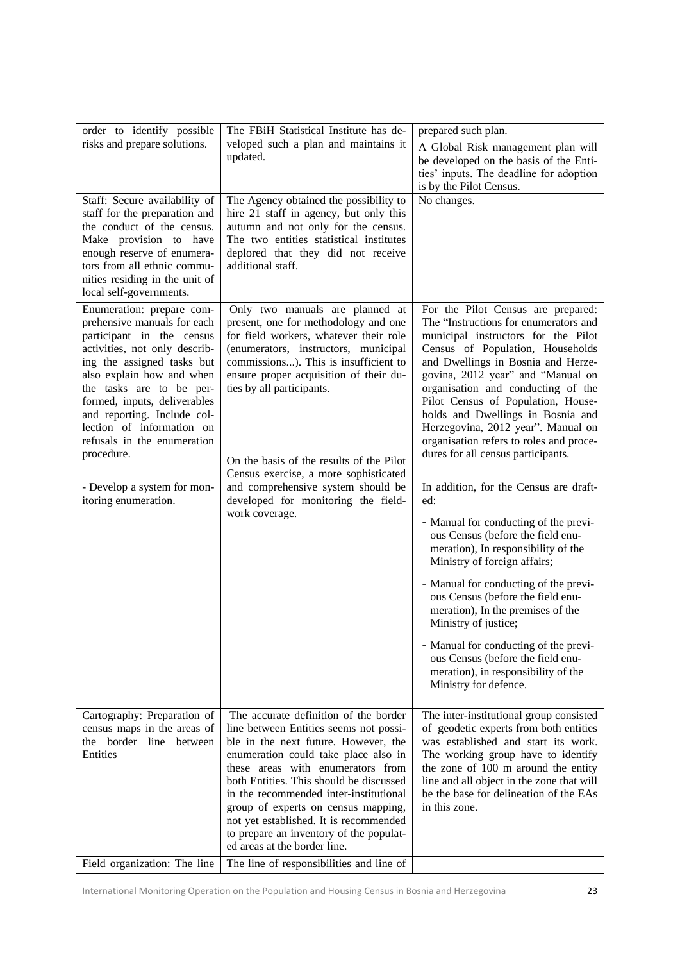| order to identify possible<br>risks and prepare solutions.<br>Staff: Secure availability of<br>staff for the preparation and<br>the conduct of the census.<br>Make provision to have<br>enough reserve of enumera-<br>tors from all ethnic commu-                                                                                                                                                             | The FBiH Statistical Institute has de-<br>veloped such a plan and maintains it<br>updated.<br>The Agency obtained the possibility to<br>hire 21 staff in agency, but only this<br>autumn and not only for the census.<br>The two entities statistical institutes<br>deplored that they did not receive<br>additional staff.                                                                                                                                   | prepared such plan.<br>A Global Risk management plan will<br>be developed on the basis of the Enti-<br>ties' inputs. The deadline for adoption<br>is by the Pilot Census.<br>No changes.                                                                                                                                                                                                                                                                                                                                                                                                                                                                                                                                                                                                                                                                                                                                                                                 |
|---------------------------------------------------------------------------------------------------------------------------------------------------------------------------------------------------------------------------------------------------------------------------------------------------------------------------------------------------------------------------------------------------------------|---------------------------------------------------------------------------------------------------------------------------------------------------------------------------------------------------------------------------------------------------------------------------------------------------------------------------------------------------------------------------------------------------------------------------------------------------------------|--------------------------------------------------------------------------------------------------------------------------------------------------------------------------------------------------------------------------------------------------------------------------------------------------------------------------------------------------------------------------------------------------------------------------------------------------------------------------------------------------------------------------------------------------------------------------------------------------------------------------------------------------------------------------------------------------------------------------------------------------------------------------------------------------------------------------------------------------------------------------------------------------------------------------------------------------------------------------|
| nities residing in the unit of<br>local self-governments.                                                                                                                                                                                                                                                                                                                                                     |                                                                                                                                                                                                                                                                                                                                                                                                                                                               |                                                                                                                                                                                                                                                                                                                                                                                                                                                                                                                                                                                                                                                                                                                                                                                                                                                                                                                                                                          |
| Enumeration: prepare com-<br>prehensive manuals for each<br>participant in the census<br>activities, not only describ-<br>ing the assigned tasks but<br>also explain how and when<br>the tasks are to be per-<br>formed, inputs, deliverables<br>and reporting. Include col-<br>lection of information on<br>refusals in the enumeration<br>procedure.<br>- Develop a system for mon-<br>itoring enumeration. | Only two manuals are planned at<br>present, one for methodology and one<br>for field workers, whatever their role<br>(enumerators, instructors, municipal<br>commissions). This is insufficient to<br>ensure proper acquisition of their du-<br>ties by all participants.<br>On the basis of the results of the Pilot<br>Census exercise, a more sophisticated<br>and comprehensive system should be<br>developed for monitoring the field-<br>work coverage. | For the Pilot Census are prepared:<br>The "Instructions for enumerators and<br>municipal instructors for the Pilot<br>Census of Population, Households<br>and Dwellings in Bosnia and Herze-<br>govina, 2012 year" and "Manual on<br>organisation and conducting of the<br>Pilot Census of Population, House-<br>holds and Dwellings in Bosnia and<br>Herzegovina, 2012 year". Manual on<br>organisation refers to roles and proce-<br>dures for all census participants.<br>In addition, for the Census are draft-<br>ed:<br>- Manual for conducting of the previ-<br>ous Census (before the field enu-<br>meration), In responsibility of the<br>Ministry of foreign affairs;<br>- Manual for conducting of the previ-<br>ous Census (before the field enu-<br>meration), In the premises of the<br>Ministry of justice;<br>- Manual for conducting of the previ-<br>ous Census (before the field enu-<br>meration), in responsibility of the<br>Ministry for defence. |
| Cartography: Preparation of                                                                                                                                                                                                                                                                                                                                                                                   | The accurate definition of the border                                                                                                                                                                                                                                                                                                                                                                                                                         | The inter-institutional group consisted                                                                                                                                                                                                                                                                                                                                                                                                                                                                                                                                                                                                                                                                                                                                                                                                                                                                                                                                  |
| census maps in the areas of<br>the border line between<br>Entities                                                                                                                                                                                                                                                                                                                                            | line between Entities seems not possi-<br>ble in the next future. However, the<br>enumeration could take place also in<br>these areas with enumerators from<br>both Entities. This should be discussed<br>in the recommended inter-institutional<br>group of experts on census mapping,<br>not yet established. It is recommended<br>to prepare an inventory of the populat-<br>ed areas at the border line.                                                  | of geodetic experts from both entities<br>was established and start its work.<br>The working group have to identify<br>the zone of 100 m around the entity<br>line and all object in the zone that will<br>be the base for delineation of the EAs<br>in this zone.                                                                                                                                                                                                                                                                                                                                                                                                                                                                                                                                                                                                                                                                                                       |
| Field organization: The line                                                                                                                                                                                                                                                                                                                                                                                  | The line of responsibilities and line of                                                                                                                                                                                                                                                                                                                                                                                                                      |                                                                                                                                                                                                                                                                                                                                                                                                                                                                                                                                                                                                                                                                                                                                                                                                                                                                                                                                                                          |

International Monitoring Operation on the Population and Housing Census in Bosnia and Herzegovina 23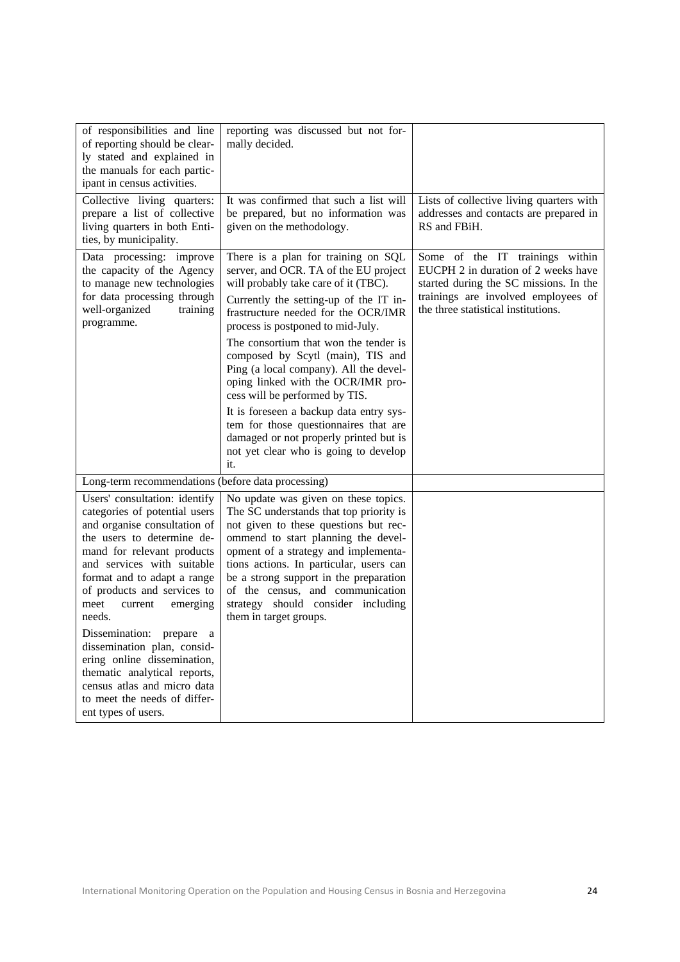| of responsibilities and line<br>of reporting should be clear-<br>ly stated and explained in<br>the manuals for each partic-<br>ipant in census activities.                                                                                                                                      | reporting was discussed but not for-<br>mally decided.                                                                                                                                                                                                                                                                                                                                                                                     |                                                                                                                                                                                                |
|-------------------------------------------------------------------------------------------------------------------------------------------------------------------------------------------------------------------------------------------------------------------------------------------------|--------------------------------------------------------------------------------------------------------------------------------------------------------------------------------------------------------------------------------------------------------------------------------------------------------------------------------------------------------------------------------------------------------------------------------------------|------------------------------------------------------------------------------------------------------------------------------------------------------------------------------------------------|
| Collective living quarters:<br>prepare a list of collective<br>living quarters in both Enti-<br>ties, by municipality.                                                                                                                                                                          | It was confirmed that such a list will<br>be prepared, but no information was<br>given on the methodology.                                                                                                                                                                                                                                                                                                                                 | Lists of collective living quarters with<br>addresses and contacts are prepared in<br>RS and FBiH.                                                                                             |
| Data processing: improve<br>the capacity of the Agency<br>to manage new technologies<br>for data processing through<br>well-organized<br>training<br>programme.                                                                                                                                 | There is a plan for training on SQL<br>server, and OCR. TA of the EU project<br>will probably take care of it (TBC).<br>Currently the setting-up of the IT in-<br>frastructure needed for the OCR/IMR<br>process is postponed to mid-July.<br>The consortium that won the tender is<br>composed by Scytl (main), TIS and<br>Ping (a local company). All the devel-<br>oping linked with the OCR/IMR pro-<br>cess will be performed by TIS. | Some of the IT trainings within<br>EUCPH 2 in duration of 2 weeks have<br>started during the SC missions. In the<br>trainings are involved employees of<br>the three statistical institutions. |
|                                                                                                                                                                                                                                                                                                 | It is foreseen a backup data entry sys-<br>tem for those questionnaires that are<br>damaged or not properly printed but is<br>not yet clear who is going to develop<br>it.                                                                                                                                                                                                                                                                 |                                                                                                                                                                                                |
| Long-term recommendations (before data processing)                                                                                                                                                                                                                                              |                                                                                                                                                                                                                                                                                                                                                                                                                                            |                                                                                                                                                                                                |
| Users' consultation: identify<br>categories of potential users<br>and organise consultation of<br>the users to determine de-<br>mand for relevant products<br>and services with suitable<br>format and to adapt a range<br>of products and services to<br>meet<br>current<br>emerging<br>needs. | No update was given on these topics.<br>The SC understands that top priority is<br>not given to these questions but rec-<br>ommend to start planning the devel-<br>opment of a strategy and implementa-<br>tions actions. In particular, users can<br>be a strong support in the preparation<br>of the census, and communication<br>strategy should consider including<br>them in target groups.                                           |                                                                                                                                                                                                |
| Dissemination: prepare<br><sub>a</sub><br>dissemination plan, consid-<br>ering online dissemination,<br>thematic analytical reports,<br>census atlas and micro data<br>to meet the needs of differ-<br>ent types of users.                                                                      |                                                                                                                                                                                                                                                                                                                                                                                                                                            |                                                                                                                                                                                                |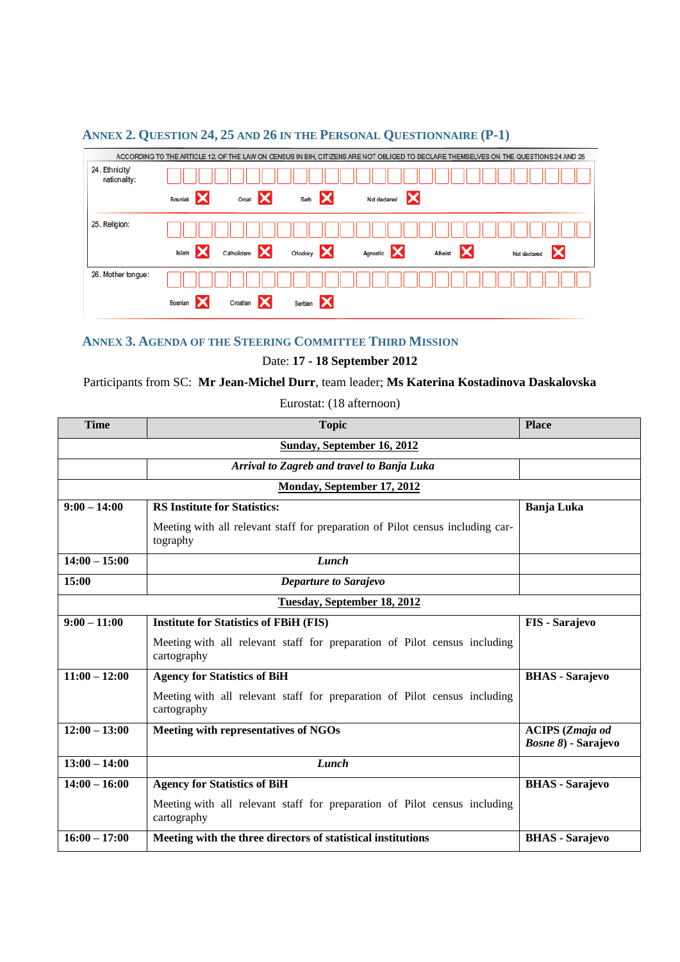#### ACCORDING TO THE ARTICLE 12. OF THE LAW ON CENSUS IN BIH, CITIZENS ARE NOT OBLIGED TO DECLARE THEMSELVES ON THE QUESTIONS 24 AND 25 24. Ethnicity/ nationality: Bosniak X Croat X Serb X Not declared 25. Religion: Afheist X **Islam** Catholicism Ortodoxy X Agnostic X Not declared 26. Mother tongue: Croatian X Serbian X Bosnian X

## <span id="page-24-0"></span>**ANNEX 2. QUESTION 24, 25 AND 26 IN THE PERSONAL QUESTIONNAIRE (P-1)**

## <span id="page-24-1"></span>**ANNEX 3. AGENDA OF THE STEERING COMMITTEE THIRD MISSION**

Date: **17 - 18 September 2012**

## Participants from SC: **Mr Jean-Michel Durr**, team leader; **Ms Katerina Kostadinova Daskalovska**

Eurostat: (18 afternoon)

| <b>Time</b>                | <b>Topic</b>                                                                               | <b>Place</b>                                          |
|----------------------------|--------------------------------------------------------------------------------------------|-------------------------------------------------------|
| Sunday, September 16, 2012 |                                                                                            |                                                       |
|                            | Arrival to Zagreb and travel to Banja Luka                                                 |                                                       |
|                            | Monday, September 17, 2012                                                                 |                                                       |
| $\overline{9:00} - 14:00$  | <b>RS Institute for Statistics:</b>                                                        | <b>Banja Luka</b>                                     |
|                            | Meeting with all relevant staff for preparation of Pilot census including car-<br>tography |                                                       |
| $14:00 - 15:00$            | Lunch                                                                                      |                                                       |
| 15:00                      | <b>Departure to Sarajevo</b>                                                               |                                                       |
|                            | Tuesday, September 18, 2012                                                                |                                                       |
| $9:00 - 11:00$             | <b>Institute for Statistics of FBiH (FIS)</b>                                              | <b>FIS</b> - Sarajevo                                 |
|                            | Meeting with all relevant staff for preparation of Pilot census including<br>cartography   |                                                       |
| $11:00 - 12:00$            | <b>Agency for Statistics of BiH</b>                                                        | <b>BHAS</b> - Sarajevo                                |
|                            | Meeting with all relevant staff for preparation of Pilot census including<br>cartography   |                                                       |
| $12:00 - 13:00$            | Meeting with representatives of NGOs                                                       | <b>ACIPS</b> (Zmaja od<br><i>Bosne 8</i> ) - Sarajevo |
| $13:00 - 14:00$            | Lunch                                                                                      |                                                       |
| $14:00 - 16:00$            | <b>Agency for Statistics of BiH</b>                                                        | <b>BHAS</b> - Sarajevo                                |
|                            | Meeting with all relevant staff for preparation of Pilot census including<br>cartography   |                                                       |
| $16:00 - 17:00$            | Meeting with the three directors of statistical institutions                               | <b>BHAS</b> - Sarajevo                                |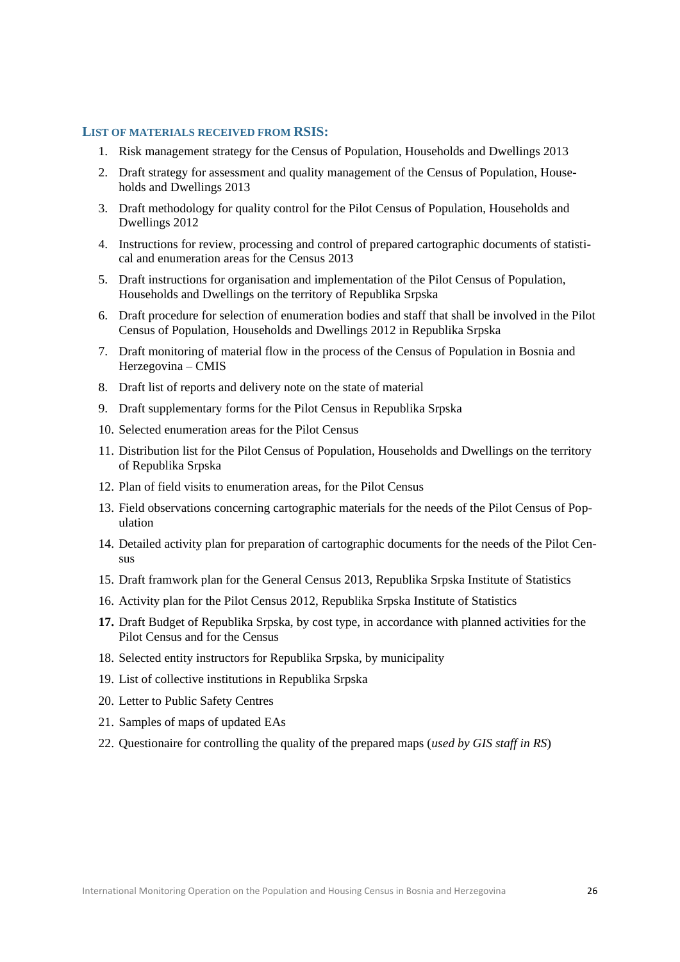#### <span id="page-25-0"></span>**LIST OF MATERIALS RECEIVED FROM RSIS:**

- 1. Risk management strategy for the Census of Population, Households and Dwellings 2013
- 2. Draft strategy for assessment and quality management of the Census of Population, Households and Dwellings 2013
- 3. Draft methodology for quality control for the Pilot Census of Population, Households and Dwellings 2012
- 4. Instructions for review, processing and control of prepared cartographic documents of statistical and enumeration areas for the Census 2013
- 5. Draft instructions for organisation and implementation of the Pilot Census of Population, Households and Dwellings on the territory of Republika Srpska
- 6. Draft procedure for selection of enumeration bodies and staff that shall be involved in the Pilot Census of Population, Households and Dwellings 2012 in Republika Srpska
- 7. Draft monitoring of material flow in the process of the Census of Population in Bosnia and Herzegovina – CMIS
- 8. Draft list of reports and delivery note on the state of material
- 9. Draft supplementary forms for the Pilot Census in Republika Srpska
- 10. Selected enumeration areas for the Pilot Census
- 11. Distribution list for the Pilot Census of Population, Households and Dwellings on the territory of Republika Srpska
- 12. Plan of field visits to enumeration areas, for the Pilot Census
- 13. Field observations concerning cartographic materials for the needs of the Pilot Census of Population
- 14. Detailed activity plan for preparation of cartographic documents for the needs of the Pilot Census
- 15. Draft framwork plan for the General Census 2013, Republika Srpska Institute of Statistics
- 16. Activity plan for the Pilot Census 2012, Republika Srpska Institute of Statistics
- **17.** Draft Budget of Republika Srpska, by cost type, in accordance with planned activities for the Pilot Census and for the Census
- 18. Selected entity instructors for Republika Srpska, by municipality
- 19. List of collective institutions in Republika Srpska
- 20. Letter to Public Safety Centres
- 21. Samples of maps of updated EAs
- 22. Questionaire for controlling the quality of the prepared maps (*used by GIS staff in RS*)